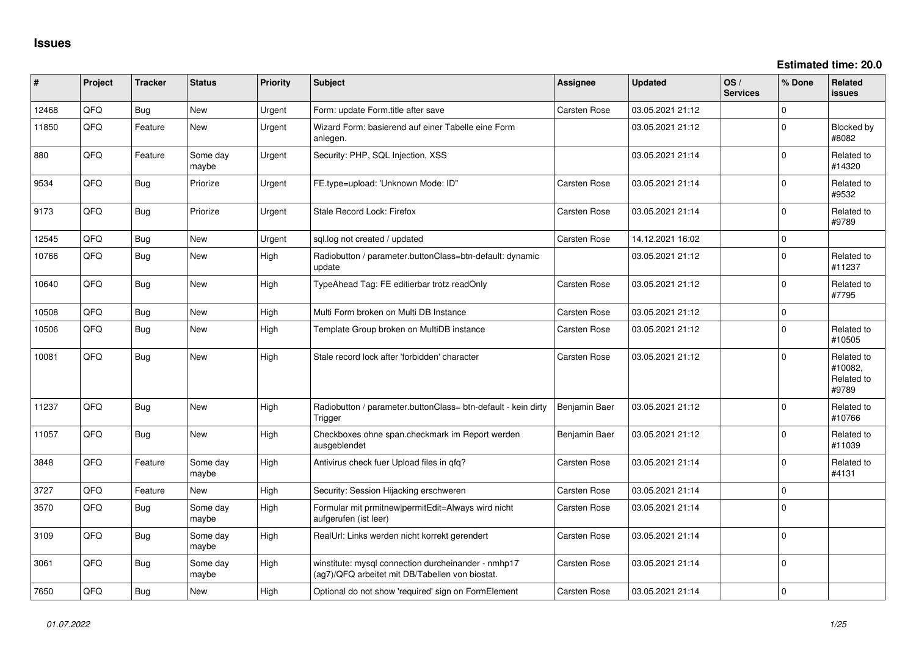**Estimated time: 20.0**

| ∦     | Project | <b>Tracker</b> | <b>Status</b>     | <b>Priority</b> | Subject                                                                                                | <b>Assignee</b>     | <b>Updated</b>   | OS/<br><b>Services</b> | % Done      | Related<br><b>issues</b>                     |
|-------|---------|----------------|-------------------|-----------------|--------------------------------------------------------------------------------------------------------|---------------------|------------------|------------------------|-------------|----------------------------------------------|
| 12468 | QFQ     | <b>Bug</b>     | <b>New</b>        | Urgent          | Form: update Form.title after save                                                                     | Carsten Rose        | 03.05.2021 21:12 |                        | $\Omega$    |                                              |
| 11850 | QFQ     | Feature        | New               | Urgent          | Wizard Form: basierend auf einer Tabelle eine Form<br>anlegen.                                         |                     | 03.05.2021 21:12 |                        | $\Omega$    | Blocked by<br>#8082                          |
| 880   | QFQ     | Feature        | Some day<br>maybe | Urgent          | Security: PHP, SQL Injection, XSS                                                                      |                     | 03.05.2021 21:14 |                        | $\Omega$    | Related to<br>#14320                         |
| 9534  | QFQ     | <b>Bug</b>     | Priorize          | Urgent          | FE.type=upload: 'Unknown Mode: ID"                                                                     | Carsten Rose        | 03.05.2021 21:14 |                        | $\Omega$    | Related to<br>#9532                          |
| 9173  | QFQ     | Bug            | Priorize          | Urgent          | Stale Record Lock: Firefox                                                                             | Carsten Rose        | 03.05.2021 21:14 |                        | $\Omega$    | Related to<br>#9789                          |
| 12545 | QFQ     | <b>Bug</b>     | <b>New</b>        | Urgent          | sgl.log not created / updated                                                                          | <b>Carsten Rose</b> | 14.12.2021 16:02 |                        | $\Omega$    |                                              |
| 10766 | QFQ     | Bug            | <b>New</b>        | High            | Radiobutton / parameter.buttonClass=btn-default: dynamic<br>update                                     |                     | 03.05.2021 21:12 |                        | $\Omega$    | Related to<br>#11237                         |
| 10640 | QFQ     | <b>Bug</b>     | <b>New</b>        | High            | TypeAhead Tag: FE editierbar trotz readOnly                                                            | <b>Carsten Rose</b> | 03.05.2021 21:12 |                        | $\Omega$    | Related to<br>#7795                          |
| 10508 | QFQ     | <b>Bug</b>     | <b>New</b>        | High            | Multi Form broken on Multi DB Instance                                                                 | Carsten Rose        | 03.05.2021 21:12 |                        | 0           |                                              |
| 10506 | QFQ     | <b>Bug</b>     | <b>New</b>        | High            | Template Group broken on MultiDB instance                                                              | Carsten Rose        | 03.05.2021 21:12 |                        | $\Omega$    | Related to<br>#10505                         |
| 10081 | QFQ     | <b>Bug</b>     | New               | High            | Stale record lock after 'forbidden' character                                                          | Carsten Rose        | 03.05.2021 21:12 |                        | $\Omega$    | Related to<br>#10082.<br>Related to<br>#9789 |
| 11237 | QFQ     | <b>Bug</b>     | <b>New</b>        | High            | Radiobutton / parameter.buttonClass= btn-default - kein dirty<br>Trigger                               | Benjamin Baer       | 03.05.2021 21:12 |                        | $\Omega$    | Related to<br>#10766                         |
| 11057 | QFQ     | <b>Bug</b>     | New               | High            | Checkboxes ohne span.checkmark im Report werden<br>ausgeblendet                                        | Benjamin Baer       | 03.05.2021 21:12 |                        | $\Omega$    | Related to<br>#11039                         |
| 3848  | QFQ     | Feature        | Some day<br>maybe | High            | Antivirus check fuer Upload files in qfq?                                                              | Carsten Rose        | 03.05.2021 21:14 |                        | $\Omega$    | Related to<br>#4131                          |
| 3727  | QFQ     | Feature        | <b>New</b>        | High            | Security: Session Hijacking erschweren                                                                 | Carsten Rose        | 03.05.2021 21:14 |                        | $\mathbf 0$ |                                              |
| 3570  | QFQ     | Bug            | Some day<br>maybe | High            | Formular mit prmitnew permitEdit=Always wird nicht<br>aufgerufen (ist leer)                            | Carsten Rose        | 03.05.2021 21:14 |                        | $\mathbf 0$ |                                              |
| 3109  | QFQ     | <b>Bug</b>     | Some day<br>maybe | High            | RealUrl: Links werden nicht korrekt gerendert                                                          | Carsten Rose        | 03.05.2021 21:14 |                        | $\Omega$    |                                              |
| 3061  | QFQ     | <b>Bug</b>     | Some day<br>maybe | High            | winstitute: mysql connection durcheinander - nmhp17<br>(ag7)/QFQ arbeitet mit DB/Tabellen von biostat. | Carsten Rose        | 03.05.2021 21:14 |                        | $\mathbf 0$ |                                              |
| 7650  | QFQ     | Bug            | New               | High            | Optional do not show 'required' sign on FormElement                                                    | Carsten Rose        | 03.05.2021 21:14 |                        | 0           |                                              |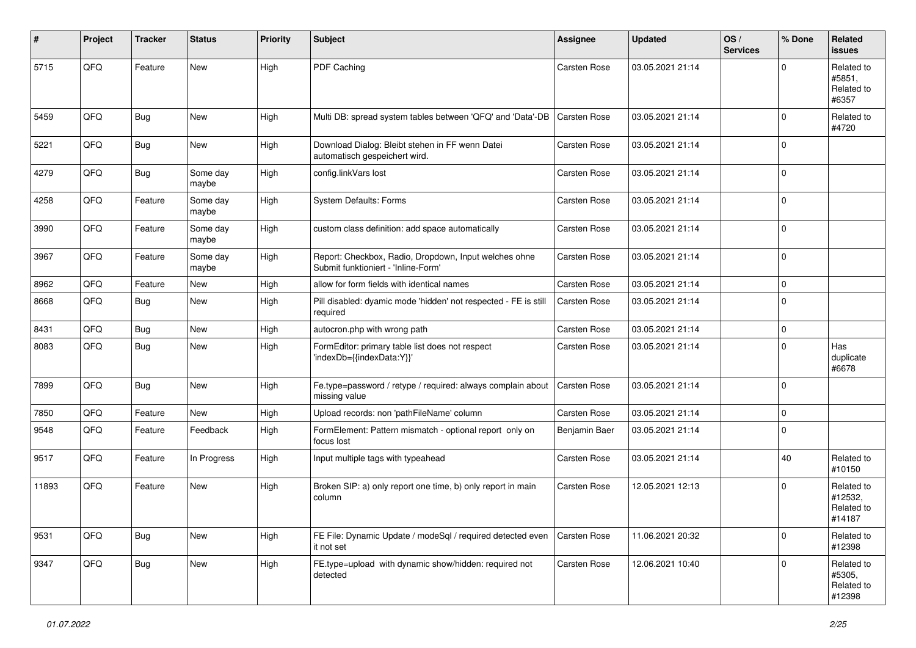| ∦     | Project | <b>Tracker</b> | <b>Status</b>     | <b>Priority</b> | <b>Subject</b>                                                                               | Assignee            | <b>Updated</b>   | OS/<br><b>Services</b> | % Done      | Related<br>issues                             |
|-------|---------|----------------|-------------------|-----------------|----------------------------------------------------------------------------------------------|---------------------|------------------|------------------------|-------------|-----------------------------------------------|
| 5715  | QFQ     | Feature        | New               | High            | PDF Caching                                                                                  | <b>Carsten Rose</b> | 03.05.2021 21:14 |                        | $\Omega$    | Related to<br>#5851,<br>Related to<br>#6357   |
| 5459  | QFQ     | <b>Bug</b>     | New               | High            | Multi DB: spread system tables between 'QFQ' and 'Data'-DB                                   | <b>Carsten Rose</b> | 03.05.2021 21:14 |                        | $\Omega$    | Related to<br>#4720                           |
| 5221  | QFQ     | <b>Bug</b>     | New               | High            | Download Dialog: Bleibt stehen in FF wenn Datei<br>automatisch gespeichert wird.             | <b>Carsten Rose</b> | 03.05.2021 21:14 |                        | $\Omega$    |                                               |
| 4279  | QFQ     | <b>Bug</b>     | Some day<br>maybe | High            | config.linkVars lost                                                                         | <b>Carsten Rose</b> | 03.05.2021 21:14 |                        | $\Omega$    |                                               |
| 4258  | QFQ     | Feature        | Some day<br>maybe | High            | System Defaults: Forms                                                                       | <b>Carsten Rose</b> | 03.05.2021 21:14 |                        | $\Omega$    |                                               |
| 3990  | QFQ     | Feature        | Some day<br>maybe | High            | custom class definition: add space automatically                                             | Carsten Rose        | 03.05.2021 21:14 |                        | $\Omega$    |                                               |
| 3967  | QFQ     | Feature        | Some day<br>maybe | High            | Report: Checkbox, Radio, Dropdown, Input welches ohne<br>Submit funktioniert - 'Inline-Form' | Carsten Rose        | 03.05.2021 21:14 |                        | $\mathbf 0$ |                                               |
| 8962  | QFQ     | Feature        | New               | High            | allow for form fields with identical names                                                   | <b>Carsten Rose</b> | 03.05.2021 21:14 |                        | $\mathbf 0$ |                                               |
| 8668  | QFQ     | <b>Bug</b>     | New               | High            | Pill disabled: dyamic mode 'hidden' not respected - FE is still<br>required                  | <b>Carsten Rose</b> | 03.05.2021 21:14 |                        | $\Omega$    |                                               |
| 8431  | QFQ     | <b>Bug</b>     | New               | High            | autocron.php with wrong path                                                                 | <b>Carsten Rose</b> | 03.05.2021 21:14 |                        | 0           |                                               |
| 8083  | QFQ     | Bug            | New               | High            | FormEditor: primary table list does not respect<br>'indexDb={{indexData:Y}}'                 | Carsten Rose        | 03.05.2021 21:14 |                        | $\Omega$    | Has<br>duplicate<br>#6678                     |
| 7899  | QFQ     | Bug            | New               | High            | Fe.type=password / retype / required: always complain about<br>missing value                 | <b>Carsten Rose</b> | 03.05.2021 21:14 |                        | 0 I         |                                               |
| 7850  | QFQ     | Feature        | New               | High            | Upload records: non 'pathFileName' column                                                    | <b>Carsten Rose</b> | 03.05.2021 21:14 |                        | $\mathbf 0$ |                                               |
| 9548  | QFQ     | Feature        | Feedback          | High            | FormElement: Pattern mismatch - optional report only on<br>focus lost                        | Benjamin Baer       | 03.05.2021 21:14 |                        | $\Omega$    |                                               |
| 9517  | QFQ     | Feature        | In Progress       | High            | Input multiple tags with typeahead                                                           | <b>Carsten Rose</b> | 03.05.2021 21:14 |                        | 40          | Related to<br>#10150                          |
| 11893 | QFQ     | Feature        | New               | High            | Broken SIP: a) only report one time, b) only report in main<br>column                        | <b>Carsten Rose</b> | 12.05.2021 12:13 |                        | $\Omega$    | Related to<br>#12532,<br>Related to<br>#14187 |
| 9531  | QFG     | <b>Bug</b>     | New               | High            | FE File: Dynamic Update / modeSql / required detected even<br>it not set                     | Carsten Rose        | 11.06.2021 20:32 |                        | $\mathbf 0$ | Related to<br>#12398                          |
| 9347  | QFG     | <b>Bug</b>     | New               | High            | FE.type=upload with dynamic show/hidden: required not<br>detected                            | Carsten Rose        | 12.06.2021 10:40 |                        | $\mathbf 0$ | Related to<br>#5305,<br>Related to<br>#12398  |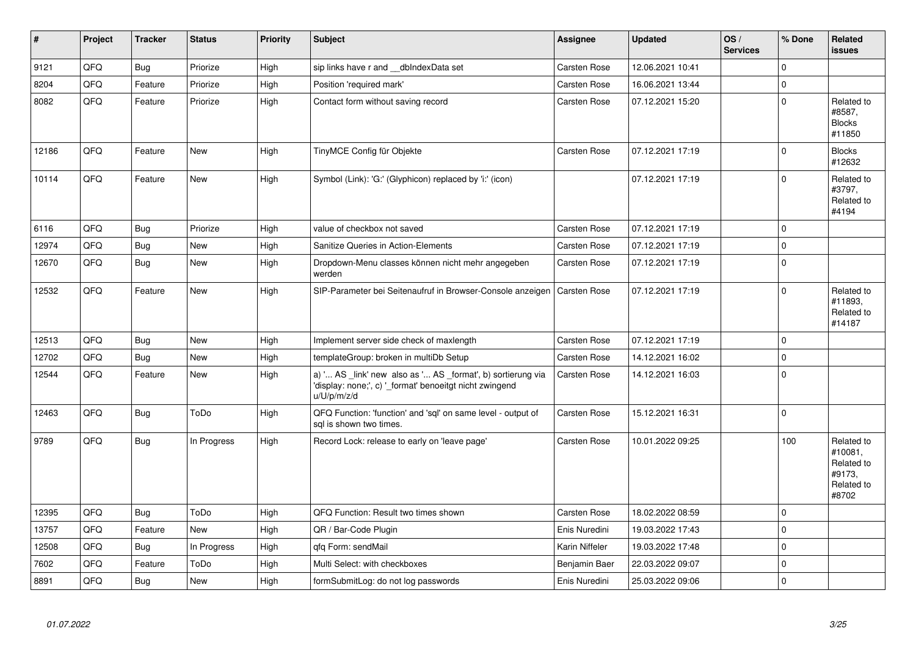| $\pmb{\sharp}$ | Project | <b>Tracker</b> | <b>Status</b> | <b>Priority</b> | <b>Subject</b>                                                                                                                        | Assignee            | <b>Updated</b>   | OS/<br><b>Services</b> | % Done      | <b>Related</b><br><b>issues</b>                                      |
|----------------|---------|----------------|---------------|-----------------|---------------------------------------------------------------------------------------------------------------------------------------|---------------------|------------------|------------------------|-------------|----------------------------------------------------------------------|
| 9121           | QFQ     | <b>Bug</b>     | Priorize      | High            | sip links have r and __dbIndexData set                                                                                                | Carsten Rose        | 12.06.2021 10:41 |                        | $\Omega$    |                                                                      |
| 8204           | QFQ     | Feature        | Priorize      | High            | Position 'required mark'                                                                                                              | Carsten Rose        | 16.06.2021 13:44 |                        | $\mathbf 0$ |                                                                      |
| 8082           | QFQ     | Feature        | Priorize      | High            | Contact form without saving record                                                                                                    | Carsten Rose        | 07.12.2021 15:20 |                        | $\Omega$    | Related to<br>#8587,<br><b>Blocks</b><br>#11850                      |
| 12186          | QFQ     | Feature        | <b>New</b>    | High            | TinyMCE Config für Objekte                                                                                                            | Carsten Rose        | 07.12.2021 17:19 |                        | $\Omega$    | <b>Blocks</b><br>#12632                                              |
| 10114          | QFQ     | Feature        | <b>New</b>    | High            | Symbol (Link): 'G:' (Glyphicon) replaced by 'i:' (icon)                                                                               |                     | 07.12.2021 17:19 |                        | $\Omega$    | Related to<br>#3797,<br>Related to<br>#4194                          |
| 6116           | QFQ     | Bug            | Priorize      | High            | value of checkbox not saved                                                                                                           | <b>Carsten Rose</b> | 07.12.2021 17:19 |                        | $\mathbf 0$ |                                                                      |
| 12974          | QFQ     | <b>Bug</b>     | <b>New</b>    | High            | Sanitize Queries in Action-Elements                                                                                                   | <b>Carsten Rose</b> | 07.12.2021 17:19 |                        | $\Omega$    |                                                                      |
| 12670          | QFQ     | <b>Bug</b>     | New           | High            | Dropdown-Menu classes können nicht mehr angegeben<br>werden                                                                           | Carsten Rose        | 07.12.2021 17:19 |                        | I٥          |                                                                      |
| 12532          | QFQ     | Feature        | New           | High            | SIP-Parameter bei Seitenaufruf in Browser-Console anzeigen                                                                            | <b>Carsten Rose</b> | 07.12.2021 17:19 |                        | $\Omega$    | Related to<br>#11893.<br>Related to<br>#14187                        |
| 12513          | QFQ     | Bug            | <b>New</b>    | High            | Implement server side check of maxlength                                                                                              | Carsten Rose        | 07.12.2021 17:19 |                        | $\Omega$    |                                                                      |
| 12702          | QFQ     | <b>Bug</b>     | <b>New</b>    | High            | templateGroup: broken in multiDb Setup                                                                                                | Carsten Rose        | 14.12.2021 16:02 |                        | $\Omega$    |                                                                      |
| 12544          | QFQ     | Feature        | New           | High            | a) ' AS _link' new also as ' AS _format', b) sortierung via<br>'display: none;', c) '_format' benoeitgt nicht zwingend<br>u/U/p/m/z/d | Carsten Rose        | 14.12.2021 16:03 |                        | $\mathbf 0$ |                                                                      |
| 12463          | QFQ     | <b>Bug</b>     | ToDo          | High            | QFQ Function: 'function' and 'sql' on same level - output of<br>sal is shown two times.                                               | Carsten Rose        | 15.12.2021 16:31 |                        | $\Omega$    |                                                                      |
| 9789           | QFQ     | <b>Bug</b>     | In Progress   | High            | Record Lock: release to early on 'leave page'                                                                                         | Carsten Rose        | 10.01.2022 09:25 |                        | 100         | Related to<br>#10081.<br>Related to<br>#9173.<br>Related to<br>#8702 |
| 12395          | QFQ     | <b>Bug</b>     | ToDo          | High            | QFQ Function: Result two times shown                                                                                                  | <b>Carsten Rose</b> | 18.02.2022 08:59 |                        | $\mathbf 0$ |                                                                      |
| 13757          | QFQ     | Feature        | <b>New</b>    | High            | QR / Bar-Code Plugin                                                                                                                  | Enis Nuredini       | 19.03.2022 17:43 |                        | $\Omega$    |                                                                      |
| 12508          | QFQ     | Bug            | In Progress   | High            | qfq Form: sendMail                                                                                                                    | Karin Niffeler      | 19.03.2022 17:48 |                        | $\mathbf 0$ |                                                                      |
| 7602           | QFQ     | Feature        | ToDo          | High            | Multi Select: with checkboxes                                                                                                         | Benjamin Baer       | 22.03.2022 09:07 |                        | $\mathbf 0$ |                                                                      |
| 8891           | QFQ     | <b>Bug</b>     | New           | High            | formSubmitLog: do not log passwords                                                                                                   | Enis Nuredini       | 25.03.2022 09:06 |                        | $\Omega$    |                                                                      |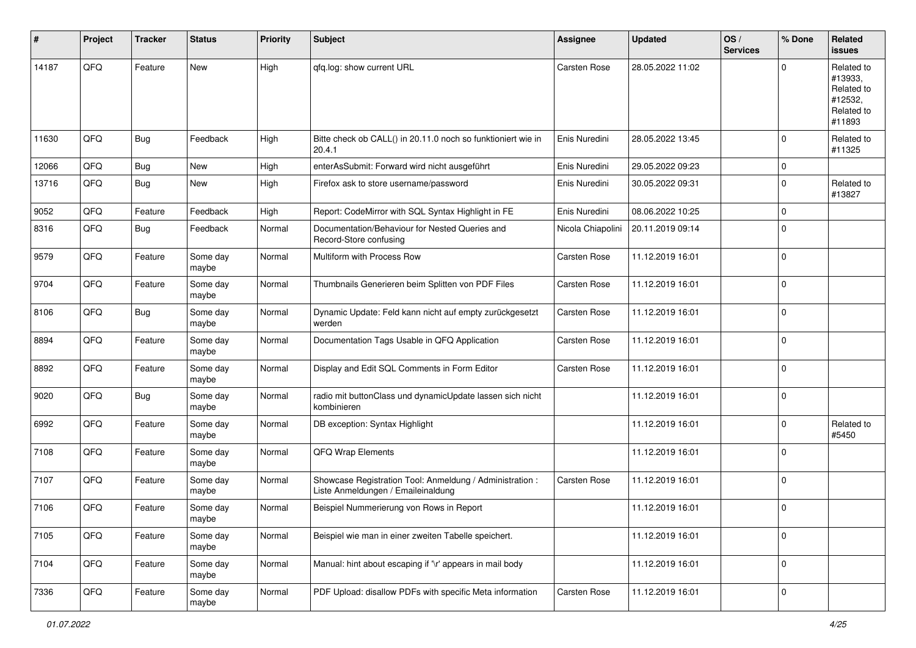| #     | Project | <b>Tracker</b> | <b>Status</b>     | <b>Priority</b> | <b>Subject</b>                                                                                 | <b>Assignee</b>     | <b>Updated</b>   | OS/<br><b>Services</b> | % Done      | Related<br>issues                                                      |
|-------|---------|----------------|-------------------|-----------------|------------------------------------------------------------------------------------------------|---------------------|------------------|------------------------|-------------|------------------------------------------------------------------------|
| 14187 | QFQ     | Feature        | New               | High            | qfq.log: show current URL                                                                      | <b>Carsten Rose</b> | 28.05.2022 11:02 |                        | $\Omega$    | Related to<br>#13933,<br>Related to<br>#12532,<br>Related to<br>#11893 |
| 11630 | QFQ     | <b>Bug</b>     | Feedback          | High            | Bitte check ob CALL() in 20.11.0 noch so funktioniert wie in<br>20.4.1                         | Enis Nuredini       | 28.05.2022 13:45 |                        | $\Omega$    | Related to<br>#11325                                                   |
| 12066 | QFQ     | <b>Bug</b>     | New               | High            | enterAsSubmit: Forward wird nicht ausgeführt                                                   | Enis Nuredini       | 29.05.2022 09:23 |                        | 0           |                                                                        |
| 13716 | QFQ     | <b>Bug</b>     | New               | High            | Firefox ask to store username/password                                                         | Enis Nuredini       | 30.05.2022 09:31 |                        | $\Omega$    | Related to<br>#13827                                                   |
| 9052  | QFQ     | Feature        | Feedback          | High            | Report: CodeMirror with SQL Syntax Highlight in FE                                             | Enis Nuredini       | 08.06.2022 10:25 |                        | $\mathbf 0$ |                                                                        |
| 8316  | QFQ     | Bug            | Feedback          | Normal          | Documentation/Behaviour for Nested Queries and<br>Record-Store confusing                       | Nicola Chiapolini   | 20.11.2019 09:14 |                        | $\Omega$    |                                                                        |
| 9579  | QFQ     | Feature        | Some day<br>maybe | Normal          | Multiform with Process Row                                                                     | <b>Carsten Rose</b> | 11.12.2019 16:01 |                        | $\mathbf 0$ |                                                                        |
| 9704  | QFQ     | Feature        | Some day<br>maybe | Normal          | Thumbnails Generieren beim Splitten von PDF Files                                              | <b>Carsten Rose</b> | 11.12.2019 16:01 |                        | $\Omega$    |                                                                        |
| 8106  | QFQ     | <b>Bug</b>     | Some day<br>maybe | Normal          | Dynamic Update: Feld kann nicht auf empty zurückgesetzt<br>werden                              | <b>Carsten Rose</b> | 11.12.2019 16:01 |                        | $\Omega$    |                                                                        |
| 8894  | QFQ     | Feature        | Some day<br>maybe | Normal          | Documentation Tags Usable in QFQ Application                                                   | <b>Carsten Rose</b> | 11.12.2019 16:01 |                        | $\mathbf 0$ |                                                                        |
| 8892  | QFQ     | Feature        | Some day<br>maybe | Normal          | Display and Edit SQL Comments in Form Editor                                                   | <b>Carsten Rose</b> | 11.12.2019 16:01 |                        | 0           |                                                                        |
| 9020  | QFQ     | <b>Bug</b>     | Some day<br>maybe | Normal          | radio mit buttonClass und dynamicUpdate lassen sich nicht<br>kombinieren                       |                     | 11.12.2019 16:01 |                        | $\Omega$    |                                                                        |
| 6992  | QFQ     | Feature        | Some day<br>maybe | Normal          | DB exception: Syntax Highlight                                                                 |                     | 11.12.2019 16:01 |                        | $\Omega$    | Related to<br>#5450                                                    |
| 7108  | QFQ     | Feature        | Some day<br>maybe | Normal          | QFQ Wrap Elements                                                                              |                     | 11.12.2019 16:01 |                        | $\Omega$    |                                                                        |
| 7107  | QFQ     | Feature        | Some day<br>maybe | Normal          | Showcase Registration Tool: Anmeldung / Administration :<br>Liste Anmeldungen / Emaileinaldung | <b>Carsten Rose</b> | 11.12.2019 16:01 |                        | $\Omega$    |                                                                        |
| 7106  | QFQ     | Feature        | Some day<br>maybe | Normal          | Beispiel Nummerierung von Rows in Report                                                       |                     | 11.12.2019 16:01 |                        | $\Omega$    |                                                                        |
| 7105  | QFG     | Feature        | Some day<br>maybe | Normal          | Beispiel wie man in einer zweiten Tabelle speichert.                                           |                     | 11.12.2019 16:01 |                        | 0           |                                                                        |
| 7104  | QFG     | Feature        | Some day<br>maybe | Normal          | Manual: hint about escaping if '\r' appears in mail body                                       |                     | 11.12.2019 16:01 |                        | 0           |                                                                        |
| 7336  | QFG     | Feature        | Some day<br>maybe | Normal          | PDF Upload: disallow PDFs with specific Meta information                                       | Carsten Rose        | 11.12.2019 16:01 |                        | 0           |                                                                        |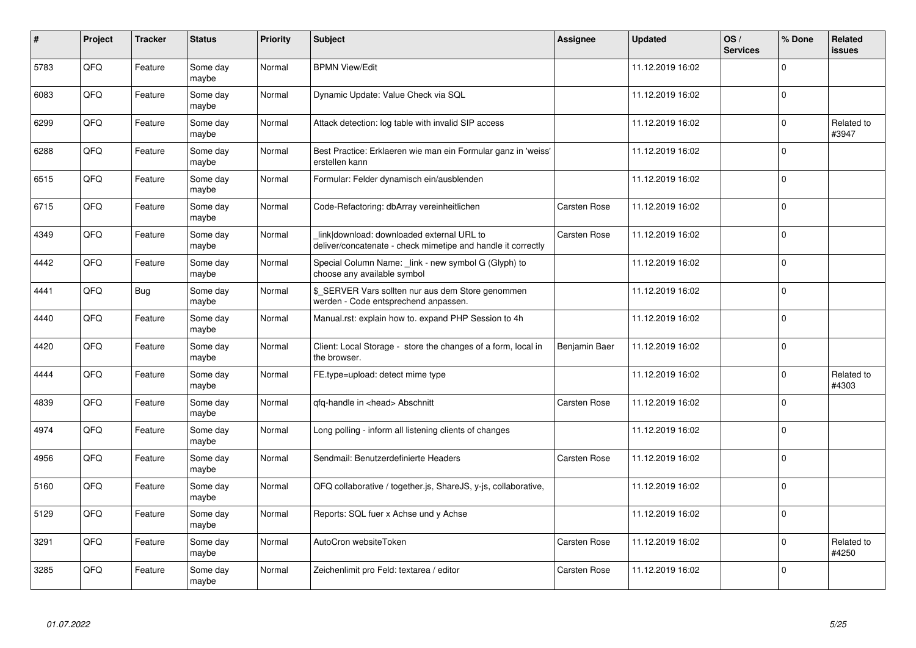| #    | Project    | <b>Tracker</b> | <b>Status</b>     | <b>Priority</b> | <b>Subject</b>                                                                                            | Assignee            | <b>Updated</b>   | OS/<br><b>Services</b> | % Done      | Related<br>issues   |
|------|------------|----------------|-------------------|-----------------|-----------------------------------------------------------------------------------------------------------|---------------------|------------------|------------------------|-------------|---------------------|
| 5783 | QFQ        | Feature        | Some day<br>maybe | Normal          | <b>BPMN View/Edit</b>                                                                                     |                     | 11.12.2019 16:02 |                        | $\Omega$    |                     |
| 6083 | QFQ        | Feature        | Some day<br>maybe | Normal          | Dynamic Update: Value Check via SQL                                                                       |                     | 11.12.2019 16:02 |                        | $\Omega$    |                     |
| 6299 | QFQ        | Feature        | Some day<br>maybe | Normal          | Attack detection: log table with invalid SIP access                                                       |                     | 11.12.2019 16:02 |                        | $\Omega$    | Related to<br>#3947 |
| 6288 | QFQ        | Feature        | Some day<br>maybe | Normal          | Best Practice: Erklaeren wie man ein Formular ganz in 'weiss'<br>erstellen kann                           |                     | 11.12.2019 16:02 |                        | $\Omega$    |                     |
| 6515 | QFQ        | Feature        | Some day<br>maybe | Normal          | Formular: Felder dynamisch ein/ausblenden                                                                 |                     | 11.12.2019 16:02 |                        | 0           |                     |
| 6715 | <b>OFO</b> | Feature        | Some day<br>maybe | Normal          | Code-Refactoring: dbArray vereinheitlichen                                                                | Carsten Rose        | 11.12.2019 16:02 |                        | $\Omega$    |                     |
| 4349 | QFQ        | Feature        | Some day<br>maybe | Normal          | link download: downloaded external URL to<br>deliver/concatenate - check mimetipe and handle it correctly | <b>Carsten Rose</b> | 11.12.2019 16:02 |                        | $\Omega$    |                     |
| 4442 | QFQ        | Feature        | Some day<br>maybe | Normal          | Special Column Name: link - new symbol G (Glyph) to<br>choose any available symbol                        |                     | 11.12.2019 16:02 |                        | $\Omega$    |                     |
| 4441 | QFQ        | <b>Bug</b>     | Some day<br>maybe | Normal          | \$ SERVER Vars sollten nur aus dem Store genommen<br>werden - Code entsprechend anpassen.                 |                     | 11.12.2019 16:02 |                        | $\Omega$    |                     |
| 4440 | QFQ        | Feature        | Some day<br>maybe | Normal          | Manual.rst: explain how to. expand PHP Session to 4h                                                      |                     | 11.12.2019 16:02 |                        | $\Omega$    |                     |
| 4420 | QFQ        | Feature        | Some day<br>maybe | Normal          | Client: Local Storage - store the changes of a form, local in<br>the browser.                             | Benjamin Baer       | 11.12.2019 16:02 |                        | $\mathbf 0$ |                     |
| 4444 | QFQ        | Feature        | Some day<br>maybe | Normal          | FE.type=upload: detect mime type                                                                          |                     | 11.12.2019 16:02 |                        | $\Omega$    | Related to<br>#4303 |
| 4839 | QFQ        | Feature        | Some day<br>maybe | Normal          | qfq-handle in <head> Abschnitt</head>                                                                     | <b>Carsten Rose</b> | 11.12.2019 16:02 |                        | $\Omega$    |                     |
| 4974 | QFQ        | Feature        | Some day<br>maybe | Normal          | Long polling - inform all listening clients of changes                                                    |                     | 11.12.2019 16:02 |                        | $\mathbf 0$ |                     |
| 4956 | QFQ        | Feature        | Some day<br>maybe | Normal          | Sendmail: Benutzerdefinierte Headers                                                                      | Carsten Rose        | 11.12.2019 16:02 |                        | $\Omega$    |                     |
| 5160 | QFQ        | Feature        | Some day<br>maybe | Normal          | QFQ collaborative / together.js, ShareJS, y-js, collaborative,                                            |                     | 11.12.2019 16:02 |                        | $\Omega$    |                     |
| 5129 | QFQ        | Feature        | Some day<br>maybe | Normal          | Reports: SQL fuer x Achse und y Achse                                                                     |                     | 11.12.2019 16:02 |                        | $\Omega$    |                     |
| 3291 | QFQ        | Feature        | Some day<br>maybe | Normal          | AutoCron websiteToken                                                                                     | Carsten Rose        | 11.12.2019 16:02 |                        | $\Omega$    | Related to<br>#4250 |
| 3285 | QFQ        | Feature        | Some day<br>maybe | Normal          | Zeichenlimit pro Feld: textarea / editor                                                                  | Carsten Rose        | 11.12.2019 16:02 |                        | $\Omega$    |                     |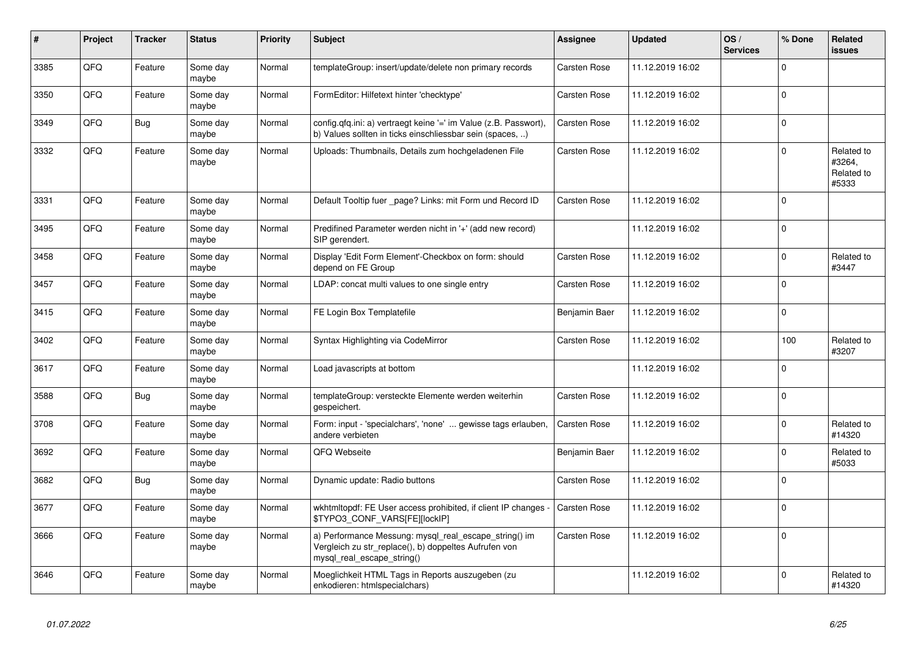| $\vert$ # | Project | <b>Tracker</b> | <b>Status</b>     | <b>Priority</b> | <b>Subject</b>                                                                                                                               | Assignee            | <b>Updated</b>   | OS/<br><b>Services</b> | % Done         | Related<br>issues                           |
|-----------|---------|----------------|-------------------|-----------------|----------------------------------------------------------------------------------------------------------------------------------------------|---------------------|------------------|------------------------|----------------|---------------------------------------------|
| 3385      | QFQ     | Feature        | Some day<br>maybe | Normal          | templateGroup: insert/update/delete non primary records                                                                                      | Carsten Rose        | 11.12.2019 16:02 |                        | $\Omega$       |                                             |
| 3350      | QFQ     | Feature        | Some day<br>maybe | Normal          | FormEditor: Hilfetext hinter 'checktype'                                                                                                     | Carsten Rose        | 11.12.2019 16:02 |                        | $\Omega$       |                                             |
| 3349      | QFQ     | Bug            | Some day<br>maybe | Normal          | config.qfq.ini: a) vertraegt keine '=' im Value (z.B. Passwort),<br>b) Values sollten in ticks einschliessbar sein (spaces, )                | <b>Carsten Rose</b> | 11.12.2019 16:02 |                        | $\Omega$       |                                             |
| 3332      | QFQ     | Feature        | Some day<br>maybe | Normal          | Uploads: Thumbnails, Details zum hochgeladenen File                                                                                          | Carsten Rose        | 11.12.2019 16:02 |                        | $\Omega$       | Related to<br>#3264,<br>Related to<br>#5333 |
| 3331      | QFQ     | Feature        | Some day<br>maybe | Normal          | Default Tooltip fuer _page? Links: mit Form und Record ID                                                                                    | Carsten Rose        | 11.12.2019 16:02 |                        | $\Omega$       |                                             |
| 3495      | QFQ     | Feature        | Some day<br>maybe | Normal          | Predifined Parameter werden nicht in '+' (add new record)<br>SIP gerendert.                                                                  |                     | 11.12.2019 16:02 |                        | $\overline{0}$ |                                             |
| 3458      | QFQ     | Feature        | Some day<br>maybe | Normal          | Display 'Edit Form Element'-Checkbox on form: should<br>depend on FE Group                                                                   | Carsten Rose        | 11.12.2019 16:02 |                        | $\Omega$       | Related to<br>#3447                         |
| 3457      | QFQ     | Feature        | Some day<br>maybe | Normal          | LDAP: concat multi values to one single entry                                                                                                | Carsten Rose        | 11.12.2019 16:02 |                        | $\mathbf 0$    |                                             |
| 3415      | QFQ     | Feature        | Some day<br>maybe | Normal          | FE Login Box Templatefile                                                                                                                    | Benjamin Baer       | 11.12.2019 16:02 |                        | $\mathbf 0$    |                                             |
| 3402      | QFQ     | Feature        | Some day<br>maybe | Normal          | Syntax Highlighting via CodeMirror                                                                                                           | Carsten Rose        | 11.12.2019 16:02 |                        | 100            | Related to<br>#3207                         |
| 3617      | QFQ     | Feature        | Some day<br>maybe | Normal          | Load javascripts at bottom                                                                                                                   |                     | 11.12.2019 16:02 |                        | $\Omega$       |                                             |
| 3588      | QFQ     | <b>Bug</b>     | Some day<br>maybe | Normal          | templateGroup: versteckte Elemente werden weiterhin<br>gespeichert.                                                                          | Carsten Rose        | 11.12.2019 16:02 |                        | $\Omega$       |                                             |
| 3708      | QFQ     | Feature        | Some day<br>maybe | Normal          | Form: input - 'specialchars', 'none'  gewisse tags erlauben,<br>andere verbieten                                                             | <b>Carsten Rose</b> | 11.12.2019 16:02 |                        | $\Omega$       | Related to<br>#14320                        |
| 3692      | QFQ     | Feature        | Some day<br>maybe | Normal          | QFQ Webseite                                                                                                                                 | Benjamin Baer       | 11.12.2019 16:02 |                        | $\Omega$       | Related to<br>#5033                         |
| 3682      | QFQ     | <b>Bug</b>     | Some day<br>maybe | Normal          | Dynamic update: Radio buttons                                                                                                                | Carsten Rose        | 11.12.2019 16:02 |                        | $\Omega$       |                                             |
| 3677      | QFQ     | Feature        | Some day<br>maybe | Normal          | wkhtmltopdf: FE User access prohibited, if client IP changes<br>\$TYPO3 CONF VARS[FE][lockIP]                                                | Carsten Rose        | 11.12.2019 16:02 |                        | $\mathbf 0$    |                                             |
| 3666      | QFQ     | Feature        | Some day<br>maybe | Normal          | a) Performance Messung: mysql_real_escape_string() im<br>Vergleich zu str_replace(), b) doppeltes Aufrufen von<br>mysql real escape string() | Carsten Rose        | 11.12.2019 16:02 |                        | $\Omega$       |                                             |
| 3646      | QFQ     | Feature        | Some day<br>maybe | Normal          | Moeglichkeit HTML Tags in Reports auszugeben (zu<br>enkodieren: htmlspecialchars)                                                            |                     | 11.12.2019 16:02 |                        | $\overline{0}$ | Related to<br>#14320                        |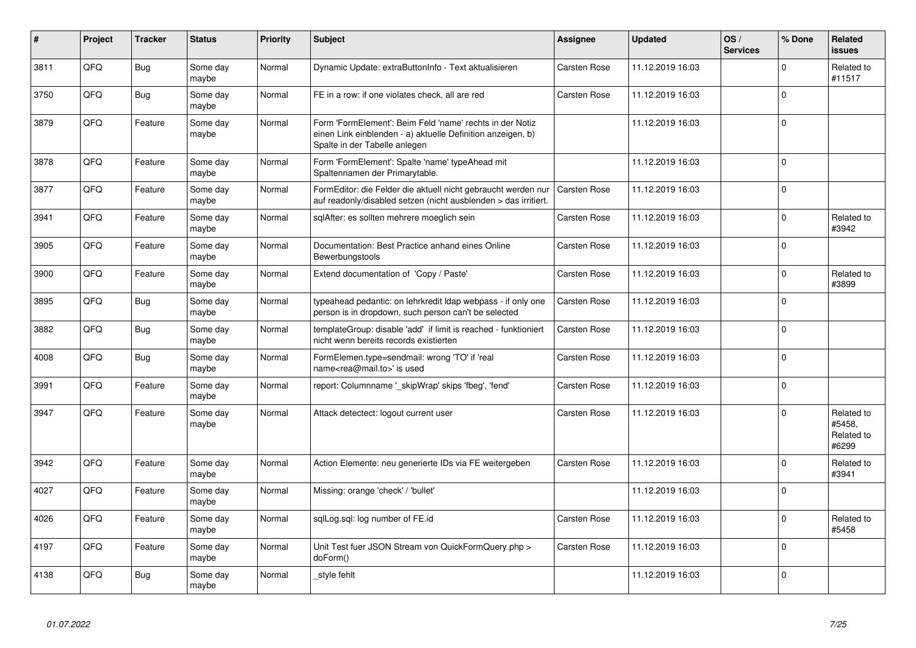| $\vert$ # | Project    | <b>Tracker</b> | <b>Status</b>     | <b>Priority</b> | <b>Subject</b>                                                                                                                                           | Assignee            | <b>Updated</b>   | OS/<br><b>Services</b> | % Done         | Related<br><b>issues</b>                    |
|-----------|------------|----------------|-------------------|-----------------|----------------------------------------------------------------------------------------------------------------------------------------------------------|---------------------|------------------|------------------------|----------------|---------------------------------------------|
| 3811      | QFQ        | <b>Bug</b>     | Some day<br>maybe | Normal          | Dynamic Update: extraButtonInfo - Text aktualisieren                                                                                                     | <b>Carsten Rose</b> | 11.12.2019 16:03 |                        | $\Omega$       | Related to<br>#11517                        |
| 3750      | QFQ        | <b>Bug</b>     | Some day<br>maybe | Normal          | FE in a row: if one violates check, all are red                                                                                                          | Carsten Rose        | 11.12.2019 16:03 |                        | $\Omega$       |                                             |
| 3879      | QFQ        | Feature        | Some day<br>maybe | Normal          | Form 'FormElement': Beim Feld 'name' rechts in der Notiz<br>einen Link einblenden - a) aktuelle Definition anzeigen, b)<br>Spalte in der Tabelle anlegen |                     | 11.12.2019 16:03 |                        | $\overline{0}$ |                                             |
| 3878      | QFQ        | Feature        | Some day<br>maybe | Normal          | Form 'FormElement': Spalte 'name' typeAhead mit<br>Spaltennamen der Primarytable.                                                                        |                     | 11.12.2019 16:03 |                        | $\mathbf 0$    |                                             |
| 3877      | QFQ        | Feature        | Some day<br>maybe | Normal          | FormEditor: die Felder die aktuell nicht gebraucht werden nur<br>auf readonly/disabled setzen (nicht ausblenden > das irritiert.                         | Carsten Rose        | 11.12.2019 16:03 |                        | $\Omega$       |                                             |
| 3941      | QFQ        | Feature        | Some day<br>maybe | Normal          | sqlAfter: es sollten mehrere moeglich sein                                                                                                               | <b>Carsten Rose</b> | 11.12.2019 16:03 |                        | $\Omega$       | Related to<br>#3942                         |
| 3905      | QFQ        | Feature        | Some day<br>maybe | Normal          | Documentation: Best Practice anhand eines Online<br>Bewerbungstools                                                                                      | Carsten Rose        | 11.12.2019 16:03 |                        | $\Omega$       |                                             |
| 3900      | QFQ        | Feature        | Some day<br>maybe | Normal          | Extend documentation of 'Copy / Paste'                                                                                                                   | <b>Carsten Rose</b> | 11.12.2019 16:03 |                        | $\Omega$       | Related to<br>#3899                         |
| 3895      | QFQ        | <b>Bug</b>     | Some day<br>maybe | Normal          | typeahead pedantic: on lehrkredit Idap webpass - if only one<br>person is in dropdown, such person can't be selected                                     | Carsten Rose        | 11.12.2019 16:03 |                        | $\Omega$       |                                             |
| 3882      | QFQ        | Bug            | Some day<br>maybe | Normal          | templateGroup: disable 'add' if limit is reached - funktioniert<br>nicht wenn bereits records existierten                                                | <b>Carsten Rose</b> | 11.12.2019 16:03 |                        | $\Omega$       |                                             |
| 4008      | QFQ        | Bug            | Some day<br>maybe | Normal          | FormElemen.type=sendmail: wrong 'TO' if 'real<br>name <rea@mail.to>' is used</rea@mail.to>                                                               | <b>Carsten Rose</b> | 11.12.2019 16:03 |                        | $\Omega$       |                                             |
| 3991      | <b>OFO</b> | Feature        | Some day<br>maybe | Normal          | report: Columnname '_skipWrap' skips 'fbeg', 'fend'                                                                                                      | Carsten Rose        | 11.12.2019 16:03 |                        | $\Omega$       |                                             |
| 3947      | QFQ        | Feature        | Some day<br>maybe | Normal          | Attack detectect: logout current user                                                                                                                    | <b>Carsten Rose</b> | 11.12.2019 16:03 |                        | $\Omega$       | Related to<br>#5458.<br>Related to<br>#6299 |
| 3942      | QFQ        | Feature        | Some day<br>maybe | Normal          | Action Elemente: neu generierte IDs via FE weitergeben                                                                                                   | Carsten Rose        | 11.12.2019 16:03 |                        | $\Omega$       | Related to<br>#3941                         |
| 4027      | QFQ        | Feature        | Some day<br>maybe | Normal          | Missing: orange 'check' / 'bullet'                                                                                                                       |                     | 11.12.2019 16:03 |                        | $\Omega$       |                                             |
| 4026      | QFQ        | Feature        | Some day<br>maybe | Normal          | sqlLog.sql: log number of FE.id                                                                                                                          | Carsten Rose        | 11.12.2019 16:03 |                        | $\Omega$       | Related to<br>#5458                         |
| 4197      | QFQ        | Feature        | Some day<br>maybe | Normal          | Unit Test fuer JSON Stream von QuickFormQuery.php ><br>doForm()                                                                                          | Carsten Rose        | 11.12.2019 16:03 |                        | $\Omega$       |                                             |
| 4138      | QFQ        | Bug            | Some day<br>maybe | Normal          | _style fehlt                                                                                                                                             |                     | 11.12.2019 16:03 |                        | $\overline{0}$ |                                             |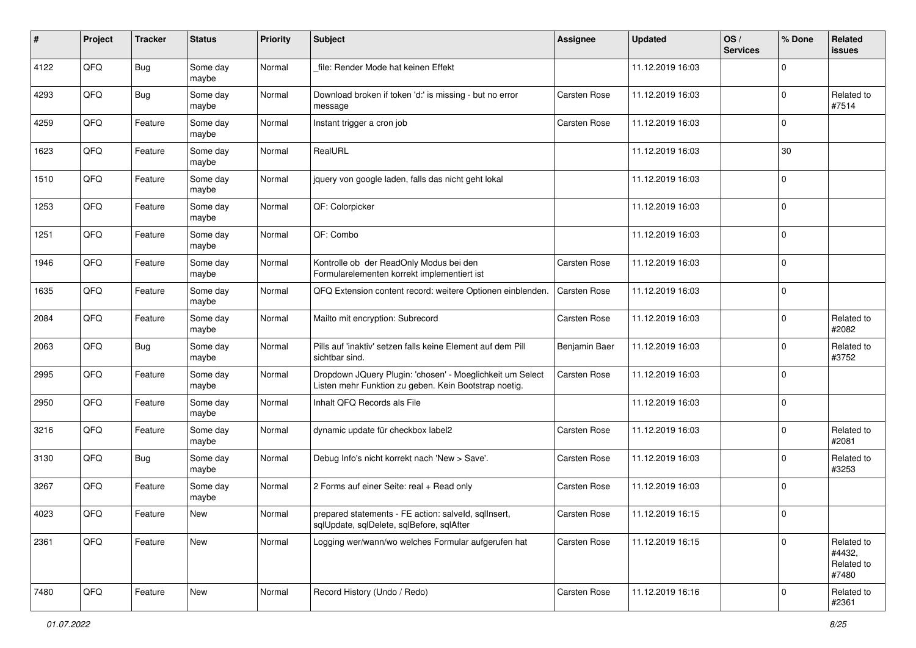| #    | Project | <b>Tracker</b> | <b>Status</b>     | <b>Priority</b> | <b>Subject</b>                                                                                                     | <b>Assignee</b>     | <b>Updated</b>   | OS/<br><b>Services</b> | % Done      | Related<br>issues                           |
|------|---------|----------------|-------------------|-----------------|--------------------------------------------------------------------------------------------------------------------|---------------------|------------------|------------------------|-------------|---------------------------------------------|
| 4122 | QFQ     | <b>Bug</b>     | Some day<br>maybe | Normal          | file: Render Mode hat keinen Effekt                                                                                |                     | 11.12.2019 16:03 |                        | $\Omega$    |                                             |
| 4293 | QFQ     | Bug            | Some day<br>maybe | Normal          | Download broken if token 'd:' is missing - but no error<br>message                                                 | <b>Carsten Rose</b> | 11.12.2019 16:03 |                        | $\Omega$    | Related to<br>#7514                         |
| 4259 | QFQ     | Feature        | Some day<br>maybe | Normal          | Instant trigger a cron job                                                                                         | Carsten Rose        | 11.12.2019 16:03 |                        | $\Omega$    |                                             |
| 1623 | QFQ     | Feature        | Some day<br>maybe | Normal          | RealURL                                                                                                            |                     | 11.12.2019 16:03 |                        | 30          |                                             |
| 1510 | QFQ     | Feature        | Some day<br>maybe | Normal          | jquery von google laden, falls das nicht geht lokal                                                                |                     | 11.12.2019 16:03 |                        | $\mathbf 0$ |                                             |
| 1253 | QFQ     | Feature        | Some day<br>maybe | Normal          | QF: Colorpicker                                                                                                    |                     | 11.12.2019 16:03 |                        | $\Omega$    |                                             |
| 1251 | QFQ     | Feature        | Some day<br>maybe | Normal          | QF: Combo                                                                                                          |                     | 11.12.2019 16:03 |                        | $\Omega$    |                                             |
| 1946 | QFQ     | Feature        | Some day<br>maybe | Normal          | Kontrolle ob der ReadOnly Modus bei den<br>Formularelementen korrekt implementiert ist                             | <b>Carsten Rose</b> | 11.12.2019 16:03 |                        | $\mathbf 0$ |                                             |
| 1635 | QFQ     | Feature        | Some day<br>maybe | Normal          | QFQ Extension content record: weitere Optionen einblenden.                                                         | <b>Carsten Rose</b> | 11.12.2019 16:03 |                        | 0           |                                             |
| 2084 | QFQ     | Feature        | Some day<br>maybe | Normal          | Mailto mit encryption: Subrecord                                                                                   | <b>Carsten Rose</b> | 11.12.2019 16:03 |                        | $\Omega$    | Related to<br>#2082                         |
| 2063 | QFQ     | <b>Bug</b>     | Some day<br>maybe | Normal          | Pills auf 'inaktiv' setzen falls keine Element auf dem Pill<br>sichtbar sind.                                      | Benjamin Baer       | 11.12.2019 16:03 |                        | $\mathbf 0$ | Related to<br>#3752                         |
| 2995 | QFQ     | Feature        | Some day<br>maybe | Normal          | Dropdown JQuery Plugin: 'chosen' - Moeglichkeit um Select<br>Listen mehr Funktion zu geben. Kein Bootstrap noetig. | Carsten Rose        | 11.12.2019 16:03 |                        | $\Omega$    |                                             |
| 2950 | QFQ     | Feature        | Some day<br>maybe | Normal          | Inhalt QFQ Records als File                                                                                        |                     | 11.12.2019 16:03 |                        | $\Omega$    |                                             |
| 3216 | QFQ     | Feature        | Some day<br>maybe | Normal          | dynamic update für checkbox label2                                                                                 | <b>Carsten Rose</b> | 11.12.2019 16:03 |                        | $\Omega$    | Related to<br>#2081                         |
| 3130 | QFQ     | <b>Bug</b>     | Some day<br>maybe | Normal          | Debug Info's nicht korrekt nach 'New > Save'.                                                                      | Carsten Rose        | 11.12.2019 16:03 |                        | $\Omega$    | Related to<br>#3253                         |
| 3267 | QFQ     | Feature        | Some day<br>maybe | Normal          | 2 Forms auf einer Seite: real + Read only                                                                          | Carsten Rose        | 11.12.2019 16:03 |                        | 0           |                                             |
| 4023 | QFQ     | Feature        | New               | Normal          | prepared statements - FE action: salveld, sqllnsert,<br>sqlUpdate, sqlDelete, sqlBefore, sqlAfter                  | <b>Carsten Rose</b> | 11.12.2019 16:15 |                        | 0           |                                             |
| 2361 | QFQ     | Feature        | New               | Normal          | Logging wer/wann/wo welches Formular aufgerufen hat                                                                | Carsten Rose        | 11.12.2019 16:15 |                        | $\Omega$    | Related to<br>#4432,<br>Related to<br>#7480 |
| 7480 | QFG     | Feature        | New               | Normal          | Record History (Undo / Redo)                                                                                       | Carsten Rose        | 11.12.2019 16:16 |                        | 0           | Related to<br>#2361                         |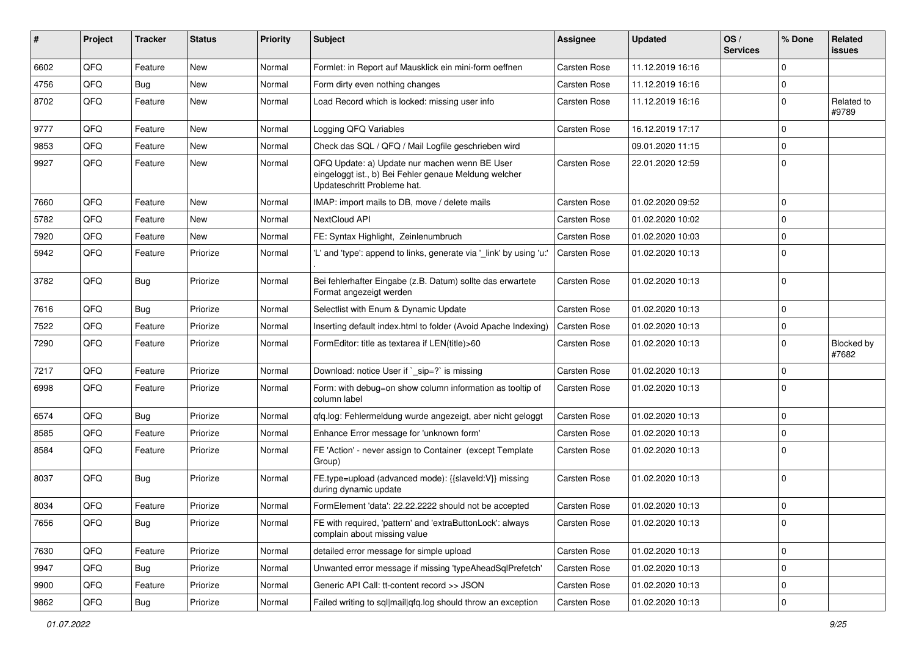| #    | <b>Project</b> | <b>Tracker</b> | <b>Status</b> | <b>Priority</b> | <b>Subject</b>                                                                                                                        | Assignee            | <b>Updated</b>   | OS/<br><b>Services</b> | % Done       | Related<br>issues          |
|------|----------------|----------------|---------------|-----------------|---------------------------------------------------------------------------------------------------------------------------------------|---------------------|------------------|------------------------|--------------|----------------------------|
| 6602 | QFQ            | Feature        | <b>New</b>    | Normal          | Formlet: in Report auf Mausklick ein mini-form oeffnen                                                                                | <b>Carsten Rose</b> | 11.12.2019 16:16 |                        | 0            |                            |
| 4756 | QFQ            | Bug            | New           | Normal          | Form dirty even nothing changes                                                                                                       | <b>Carsten Rose</b> | 11.12.2019 16:16 |                        | $\mathbf 0$  |                            |
| 8702 | QFQ            | Feature        | New           | Normal          | Load Record which is locked: missing user info                                                                                        | Carsten Rose        | 11.12.2019 16:16 |                        | $\mathbf 0$  | Related to<br>#9789        |
| 9777 | QFQ            | Feature        | New           | Normal          | Logging QFQ Variables                                                                                                                 | Carsten Rose        | 16.12.2019 17:17 |                        | $\mathbf 0$  |                            |
| 9853 | QFQ            | Feature        | New           | Normal          | Check das SQL / QFQ / Mail Logfile geschrieben wird                                                                                   |                     | 09.01.2020 11:15 |                        | $\mathbf 0$  |                            |
| 9927 | QFQ            | Feature        | New           | Normal          | QFQ Update: a) Update nur machen wenn BE User<br>eingeloggt ist., b) Bei Fehler genaue Meldung welcher<br>Updateschritt Probleme hat. | Carsten Rose        | 22.01.2020 12:59 |                        | $\mathbf 0$  |                            |
| 7660 | QFQ            | Feature        | New           | Normal          | IMAP: import mails to DB, move / delete mails                                                                                         | <b>Carsten Rose</b> | 01.02.2020 09:52 |                        | $\mathbf 0$  |                            |
| 5782 | QFQ            | Feature        | New           | Normal          | NextCloud API                                                                                                                         | Carsten Rose        | 01.02.2020 10:02 |                        | $\mathbf 0$  |                            |
| 7920 | QFQ            | Feature        | New           | Normal          | FE: Syntax Highlight, Zeinlenumbruch                                                                                                  | Carsten Rose        | 01.02.2020 10:03 |                        | $\mathbf 0$  |                            |
| 5942 | QFQ            | Feature        | Priorize      | Normal          | 'L' and 'type': append to links, generate via '_link' by using 'u:'                                                                   | Carsten Rose        | 01.02.2020 10:13 |                        | $\mathbf 0$  |                            |
| 3782 | QFQ            | <b>Bug</b>     | Priorize      | Normal          | Bei fehlerhafter Eingabe (z.B. Datum) sollte das erwartete<br>Format angezeigt werden                                                 | Carsten Rose        | 01.02.2020 10:13 |                        | $\mathbf 0$  |                            |
| 7616 | QFQ            | <b>Bug</b>     | Priorize      | Normal          | Selectlist with Enum & Dynamic Update                                                                                                 | Carsten Rose        | 01.02.2020 10:13 |                        | $\mathbf 0$  |                            |
| 7522 | QFQ            | Feature        | Priorize      | Normal          | Inserting default index.html to folder (Avoid Apache Indexing)                                                                        | Carsten Rose        | 01.02.2020 10:13 |                        | 0            |                            |
| 7290 | QFQ            | Feature        | Priorize      | Normal          | FormEditor: title as textarea if LEN(title)>60                                                                                        | Carsten Rose        | 01.02.2020 10:13 |                        | $\mathbf 0$  | <b>Blocked by</b><br>#7682 |
| 7217 | QFQ            | Feature        | Priorize      | Normal          | Download: notice User if `_sip=?` is missing                                                                                          | <b>Carsten Rose</b> | 01.02.2020 10:13 |                        | $\mathbf 0$  |                            |
| 6998 | QFQ            | Feature        | Priorize      | Normal          | Form: with debug=on show column information as tooltip of<br>column label                                                             | Carsten Rose        | 01.02.2020 10:13 |                        | $\mathbf 0$  |                            |
| 6574 | QFQ            | Bug            | Priorize      | Normal          | gfg.log: Fehlermeldung wurde angezeigt, aber nicht geloggt                                                                            | Carsten Rose        | 01.02.2020 10:13 |                        | $\mathbf 0$  |                            |
| 8585 | QFQ            | Feature        | Priorize      | Normal          | Enhance Error message for 'unknown form'                                                                                              | Carsten Rose        | 01.02.2020 10:13 |                        | $\mathbf 0$  |                            |
| 8584 | QFQ            | Feature        | Priorize      | Normal          | FE 'Action' - never assign to Container (except Template<br>Group)                                                                    | Carsten Rose        | 01.02.2020 10:13 |                        | 0            |                            |
| 8037 | QFQ            | <b>Bug</b>     | Priorize      | Normal          | FE.type=upload (advanced mode): {{slaveld:V}} missing<br>during dynamic update                                                        | Carsten Rose        | 01.02.2020 10:13 |                        | $\mathbf 0$  |                            |
| 8034 | QFQ            | Feature        | Priorize      | Normal          | FormElement 'data': 22.22.2222 should not be accepted                                                                                 | Carsten Rose        | 01.02.2020 10:13 |                        | $\mathbf 0$  |                            |
| 7656 | QFQ            | <b>Bug</b>     | Priorize      | Normal          | FE with required, 'pattern' and 'extraButtonLock': always<br>complain about missing value                                             | Carsten Rose        | 01.02.2020 10:13 |                        | 0            |                            |
| 7630 | QFQ            | Feature        | Priorize      | Normal          | detailed error message for simple upload                                                                                              | Carsten Rose        | 01.02.2020 10:13 |                        | $\mathbf 0$  |                            |
| 9947 | QFQ            | <b>Bug</b>     | Priorize      | Normal          | Unwanted error message if missing 'typeAheadSqlPrefetch'                                                                              | Carsten Rose        | 01.02.2020 10:13 |                        | 0            |                            |
| 9900 | QFQ            | Feature        | Priorize      | Normal          | Generic API Call: tt-content record >> JSON                                                                                           | Carsten Rose        | 01.02.2020 10:13 |                        | 0            |                            |
| 9862 | $\mathsf{QFQ}$ | Bug            | Priorize      | Normal          | Failed writing to sql mail qfq.log should throw an exception                                                                          | Carsten Rose        | 01.02.2020 10:13 |                        | $\mathsf{O}$ |                            |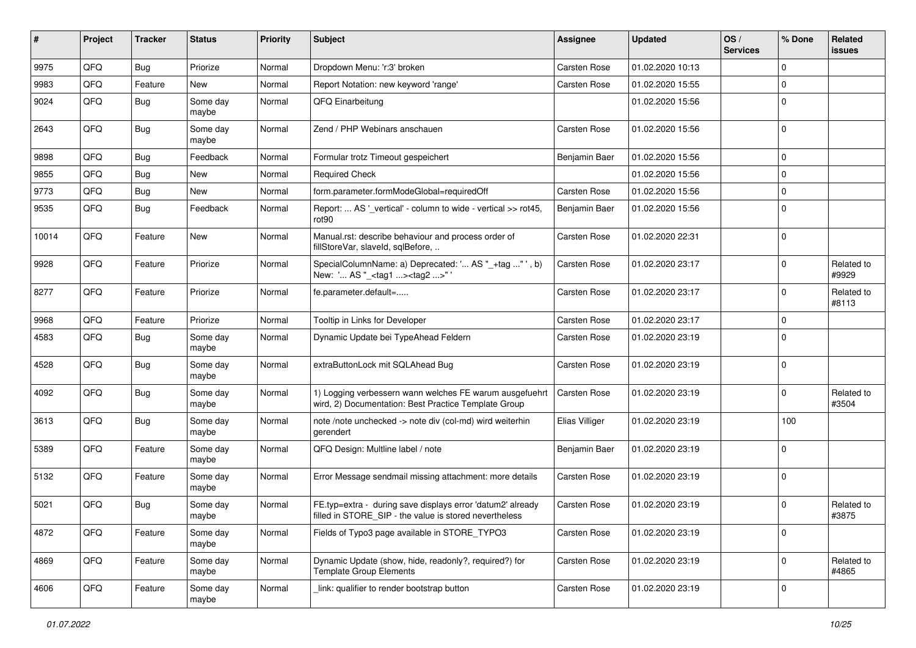| #     | Project | <b>Tracker</b> | <b>Status</b>     | <b>Priority</b> | <b>Subject</b>                                                                                                       | <b>Assignee</b>     | <b>Updated</b>   | OS/<br><b>Services</b> | % Done      | Related<br>issues   |
|-------|---------|----------------|-------------------|-----------------|----------------------------------------------------------------------------------------------------------------------|---------------------|------------------|------------------------|-------------|---------------------|
| 9975  | QFQ     | Bug            | Priorize          | Normal          | Dropdown Menu: 'r:3' broken                                                                                          | <b>Carsten Rose</b> | 01.02.2020 10:13 |                        | $\mathbf 0$ |                     |
| 9983  | QFQ     | Feature        | New               | Normal          | Report Notation: new keyword 'range'                                                                                 | Carsten Rose        | 01.02.2020 15:55 |                        | $\mathbf 0$ |                     |
| 9024  | QFQ     | <b>Bug</b>     | Some day<br>maybe | Normal          | QFQ Einarbeitung                                                                                                     |                     | 01.02.2020 15:56 |                        | $\mathbf 0$ |                     |
| 2643  | QFQ     | <b>Bug</b>     | Some day<br>maybe | Normal          | Zend / PHP Webinars anschauen                                                                                        | <b>Carsten Rose</b> | 01.02.2020 15:56 |                        | $\mathbf 0$ |                     |
| 9898  | QFQ     | Bug            | Feedback          | Normal          | Formular trotz Timeout gespeichert                                                                                   | Benjamin Baer       | 01.02.2020 15:56 |                        | 0           |                     |
| 9855  | QFQ     | Bug            | New               | Normal          | Required Check                                                                                                       |                     | 01.02.2020 15:56 |                        | $\mathbf 0$ |                     |
| 9773  | QFQ     | <b>Bug</b>     | New               | Normal          | form.parameter.formModeGlobal=requiredOff                                                                            | Carsten Rose        | 01.02.2020 15:56 |                        | $\mathbf 0$ |                     |
| 9535  | QFQ     | <b>Bug</b>     | Feedback          | Normal          | Report:  AS '_vertical' - column to wide - vertical >> rot45,<br>rot90                                               | Benjamin Baer       | 01.02.2020 15:56 |                        | $\mathbf 0$ |                     |
| 10014 | QFQ     | Feature        | <b>New</b>        | Normal          | Manual.rst: describe behaviour and process order of<br>fillStoreVar, slaveId, sqlBefore,                             | Carsten Rose        | 01.02.2020 22:31 |                        | $\mathbf 0$ |                     |
| 9928  | QFQ     | Feature        | Priorize          | Normal          | SpecialColumnName: a) Deprecated: ' AS "_+tag " ', b)<br>New: ' AS "_ <tag1><tag2>"'</tag2></tag1>                   | Carsten Rose        | 01.02.2020 23:17 |                        | $\mathbf 0$ | Related to<br>#9929 |
| 8277  | QFQ     | Feature        | Priorize          | Normal          | fe.parameter.default=                                                                                                | Carsten Rose        | 01.02.2020 23:17 |                        | 0           | Related to<br>#8113 |
| 9968  | QFQ     | Feature        | Priorize          | Normal          | Tooltip in Links for Developer                                                                                       | Carsten Rose        | 01.02.2020 23:17 |                        | $\mathbf 0$ |                     |
| 4583  | QFQ     | Bug            | Some day<br>maybe | Normal          | Dynamic Update bei TypeAhead Feldern                                                                                 | Carsten Rose        | 01.02.2020 23:19 |                        | $\mathbf 0$ |                     |
| 4528  | QFQ     | Bug            | Some day<br>maybe | Normal          | extraButtonLock mit SQLAhead Bug                                                                                     | Carsten Rose        | 01.02.2020 23:19 |                        | $\Omega$    |                     |
| 4092  | QFQ     | <b>Bug</b>     | Some day<br>maybe | Normal          | 1) Logging verbessern wann welches FE warum ausgefuehrt<br>wird, 2) Documentation: Best Practice Template Group      | Carsten Rose        | 01.02.2020 23:19 |                        | $\mathbf 0$ | Related to<br>#3504 |
| 3613  | QFQ     | <b>Bug</b>     | Some day<br>maybe | Normal          | note /note unchecked -> note div (col-md) wird weiterhin<br>gerendert                                                | Elias Villiger      | 01.02.2020 23:19 |                        | 100         |                     |
| 5389  | QFQ     | Feature        | Some day<br>maybe | Normal          | QFQ Design: Multline label / note                                                                                    | Benjamin Baer       | 01.02.2020 23:19 |                        | 0           |                     |
| 5132  | QFQ     | Feature        | Some day<br>maybe | Normal          | Error Message sendmail missing attachment: more details                                                              | Carsten Rose        | 01.02.2020 23:19 |                        | 0           |                     |
| 5021  | QFQ     | <b>Bug</b>     | Some day<br>maybe | Normal          | FE.typ=extra - during save displays error 'datum2' already<br>filled in STORE SIP - the value is stored nevertheless | Carsten Rose        | 01.02.2020 23:19 |                        | $\mathbf 0$ | Related to<br>#3875 |
| 4872  | QFQ     | Feature        | Some day<br>maybe | Normal          | Fields of Typo3 page available in STORE TYPO3                                                                        | Carsten Rose        | 01.02.2020 23:19 |                        | 0           |                     |
| 4869  | QFQ     | Feature        | Some day<br>maybe | Normal          | Dynamic Update (show, hide, readonly?, required?) for<br><b>Template Group Elements</b>                              | Carsten Rose        | 01.02.2020 23:19 |                        | 0           | Related to<br>#4865 |
| 4606  | QFQ     | Feature        | Some day<br>maybe | Normal          | link: qualifier to render bootstrap button                                                                           | Carsten Rose        | 01.02.2020 23:19 |                        | 0           |                     |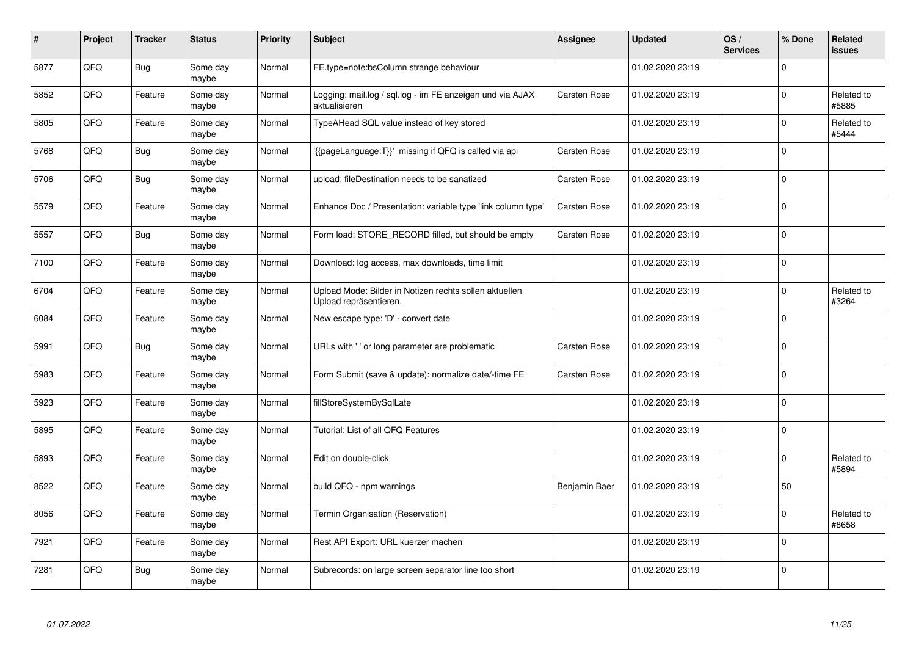| #    | Project | <b>Tracker</b> | <b>Status</b>     | <b>Priority</b> | <b>Subject</b>                                                                   | Assignee            | <b>Updated</b>   | OS/<br><b>Services</b> | % Done      | Related<br>issues   |
|------|---------|----------------|-------------------|-----------------|----------------------------------------------------------------------------------|---------------------|------------------|------------------------|-------------|---------------------|
| 5877 | QFQ     | <b>Bug</b>     | Some day<br>maybe | Normal          | FE.type=note:bsColumn strange behaviour                                          |                     | 01.02.2020 23:19 |                        | $\Omega$    |                     |
| 5852 | QFQ     | Feature        | Some day<br>maybe | Normal          | Logging: mail.log / sql.log - im FE anzeigen und via AJAX<br>aktualisieren       | Carsten Rose        | 01.02.2020 23:19 |                        | $\Omega$    | Related to<br>#5885 |
| 5805 | QFQ     | Feature        | Some day<br>maybe | Normal          | TypeAHead SQL value instead of key stored                                        |                     | 01.02.2020 23:19 |                        | $\mathbf 0$ | Related to<br>#5444 |
| 5768 | QFQ     | <b>Bug</b>     | Some day<br>maybe | Normal          | '{{pageLanguage:T}}' missing if QFQ is called via api                            | Carsten Rose        | 01.02.2020 23:19 |                        | $\Omega$    |                     |
| 5706 | QFQ     | <b>Bug</b>     | Some day<br>maybe | Normal          | upload: fileDestination needs to be sanatized                                    | Carsten Rose        | 01.02.2020 23:19 |                        | $\Omega$    |                     |
| 5579 | QFQ     | Feature        | Some day<br>maybe | Normal          | Enhance Doc / Presentation: variable type 'link column type'                     | Carsten Rose        | 01.02.2020 23:19 |                        | $\Omega$    |                     |
| 5557 | QFQ     | <b>Bug</b>     | Some day<br>maybe | Normal          | Form load: STORE_RECORD filled, but should be empty                              | Carsten Rose        | 01.02.2020 23:19 |                        | 0           |                     |
| 7100 | QFQ     | Feature        | Some day<br>maybe | Normal          | Download: log access, max downloads, time limit                                  |                     | 01.02.2020 23:19 |                        | $\Omega$    |                     |
| 6704 | QFQ     | Feature        | Some day<br>maybe | Normal          | Upload Mode: Bilder in Notizen rechts sollen aktuellen<br>Upload repräsentieren. |                     | 01.02.2020 23:19 |                        | $\Omega$    | Related to<br>#3264 |
| 6084 | QFQ     | Feature        | Some day<br>maybe | Normal          | New escape type: 'D' - convert date                                              |                     | 01.02.2020 23:19 |                        | $\Omega$    |                     |
| 5991 | QFQ     | <b>Bug</b>     | Some day<br>maybe | Normal          | URLs with ' ' or long parameter are problematic                                  | <b>Carsten Rose</b> | 01.02.2020 23:19 |                        | $\Omega$    |                     |
| 5983 | QFQ     | Feature        | Some day<br>maybe | Normal          | Form Submit (save & update): normalize date/-time FE                             | Carsten Rose        | 01.02.2020 23:19 |                        | $\Omega$    |                     |
| 5923 | QFQ     | Feature        | Some day<br>maybe | Normal          | fillStoreSystemBySqlLate                                                         |                     | 01.02.2020 23:19 |                        | $\mathbf 0$ |                     |
| 5895 | QFQ     | Feature        | Some day<br>maybe | Normal          | Tutorial: List of all QFQ Features                                               |                     | 01.02.2020 23:19 |                        | $\mathbf 0$ |                     |
| 5893 | QFQ     | Feature        | Some day<br>maybe | Normal          | Edit on double-click                                                             |                     | 01.02.2020 23:19 |                        | $\Omega$    | Related to<br>#5894 |
| 8522 | QFQ     | Feature        | Some day<br>maybe | Normal          | build QFQ - npm warnings                                                         | Benjamin Baer       | 01.02.2020 23:19 |                        | 50          |                     |
| 8056 | QFQ     | Feature        | Some day<br>maybe | Normal          | Termin Organisation (Reservation)                                                |                     | 01.02.2020 23:19 |                        | $\Omega$    | Related to<br>#8658 |
| 7921 | QFQ     | Feature        | Some day<br>maybe | Normal          | Rest API Export: URL kuerzer machen                                              |                     | 01.02.2020 23:19 |                        | $\mathbf 0$ |                     |
| 7281 | QFQ     | <b>Bug</b>     | Some day<br>maybe | Normal          | Subrecords: on large screen separator line too short                             |                     | 01.02.2020 23:19 |                        | $\Omega$    |                     |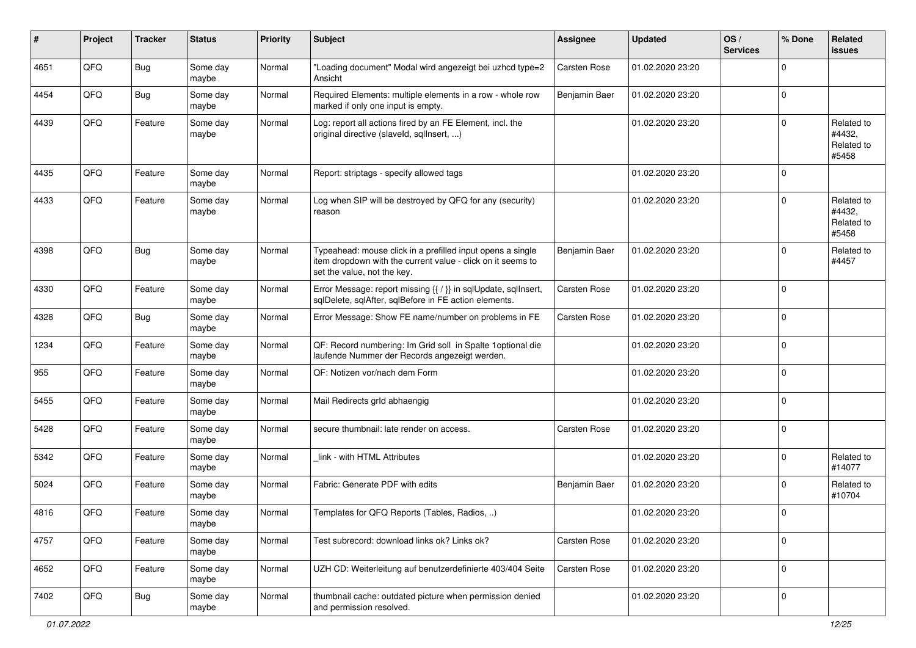| #    | Project | <b>Tracker</b> | <b>Status</b>     | <b>Priority</b> | <b>Subject</b>                                                                                                                                           | <b>Assignee</b>     | <b>Updated</b>   | OS/<br><b>Services</b> | % Done      | Related<br>issues                           |
|------|---------|----------------|-------------------|-----------------|----------------------------------------------------------------------------------------------------------------------------------------------------------|---------------------|------------------|------------------------|-------------|---------------------------------------------|
| 4651 | QFQ     | <b>Bug</b>     | Some day<br>maybe | Normal          | "Loading document" Modal wird angezeigt bei uzhcd type=2<br>Ansicht                                                                                      | <b>Carsten Rose</b> | 01.02.2020 23:20 |                        | $\Omega$    |                                             |
| 4454 | QFQ     | Bug            | Some day<br>maybe | Normal          | Required Elements: multiple elements in a row - whole row<br>marked if only one input is empty.                                                          | Benjamin Baer       | 01.02.2020 23:20 |                        | 0           |                                             |
| 4439 | QFQ     | Feature        | Some day<br>maybe | Normal          | Log: report all actions fired by an FE Element, incl. the<br>original directive (slaveld, sqllnsert, )                                                   |                     | 01.02.2020 23:20 |                        | $\Omega$    | Related to<br>#4432,<br>Related to<br>#5458 |
| 4435 | QFQ     | Feature        | Some day<br>maybe | Normal          | Report: striptags - specify allowed tags                                                                                                                 |                     | 01.02.2020 23:20 |                        | $\Omega$    |                                             |
| 4433 | QFQ     | Feature        | Some day<br>maybe | Normal          | Log when SIP will be destroyed by QFQ for any (security)<br>reason                                                                                       |                     | 01.02.2020 23:20 |                        | $\Omega$    | Related to<br>#4432,<br>Related to<br>#5458 |
| 4398 | QFQ     | <b>Bug</b>     | Some day<br>maybe | Normal          | Typeahead: mouse click in a prefilled input opens a single<br>item dropdown with the current value - click on it seems to<br>set the value, not the key. | Benjamin Baer       | 01.02.2020 23:20 |                        | $\Omega$    | Related to<br>#4457                         |
| 4330 | QFQ     | Feature        | Some day<br>maybe | Normal          | Error Message: report missing {{ / }} in sqlUpdate, sqlInsert,<br>sqlDelete, sqlAfter, sqlBefore in FE action elements.                                  | <b>Carsten Rose</b> | 01.02.2020 23:20 |                        | $\mathbf 0$ |                                             |
| 4328 | QFQ     | Bug            | Some day<br>maybe | Normal          | Error Message: Show FE name/number on problems in FE                                                                                                     | Carsten Rose        | 01.02.2020 23:20 |                        | $\mathbf 0$ |                                             |
| 1234 | QFQ     | Feature        | Some day<br>maybe | Normal          | QF: Record numbering: Im Grid soll in Spalte 1 optional die<br>laufende Nummer der Records angezeigt werden.                                             |                     | 01.02.2020 23:20 |                        | $\Omega$    |                                             |
| 955  | QFQ     | Feature        | Some day<br>maybe | Normal          | QF: Notizen vor/nach dem Form                                                                                                                            |                     | 01.02.2020 23:20 |                        | $\Omega$    |                                             |
| 5455 | QFQ     | Feature        | Some day<br>maybe | Normal          | Mail Redirects grld abhaengig                                                                                                                            |                     | 01.02.2020 23:20 |                        | $\Omega$    |                                             |
| 5428 | QFQ     | Feature        | Some day<br>maybe | Normal          | secure thumbnail: late render on access.                                                                                                                 | <b>Carsten Rose</b> | 01.02.2020 23:20 |                        | $\Omega$    |                                             |
| 5342 | QFQ     | Feature        | Some day<br>maybe | Normal          | link - with HTML Attributes                                                                                                                              |                     | 01.02.2020 23:20 |                        | $\Omega$    | Related to<br>#14077                        |
| 5024 | QFQ     | Feature        | Some day<br>maybe | Normal          | Fabric: Generate PDF with edits                                                                                                                          | Benjamin Baer       | 01.02.2020 23:20 |                        | $\Omega$    | Related to<br>#10704                        |
| 4816 | QFQ     | Feature        | Some day<br>maybe | Normal          | Templates for QFQ Reports (Tables, Radios, )                                                                                                             |                     | 01.02.2020 23:20 |                        | 0           |                                             |
| 4757 | QFQ     | Feature        | Some day<br>maybe | Normal          | Test subrecord: download links ok? Links ok?                                                                                                             | Carsten Rose        | 01.02.2020 23:20 |                        | $\Omega$    |                                             |
| 4652 | QFQ     | Feature        | Some day<br>maybe | Normal          | UZH CD: Weiterleitung auf benutzerdefinierte 403/404 Seite                                                                                               | Carsten Rose        | 01.02.2020 23:20 |                        | $\mathbf 0$ |                                             |
| 7402 | QFQ     | <b>Bug</b>     | Some day<br>maybe | Normal          | thumbnail cache: outdated picture when permission denied<br>and permission resolved.                                                                     |                     | 01.02.2020 23:20 |                        | 0           |                                             |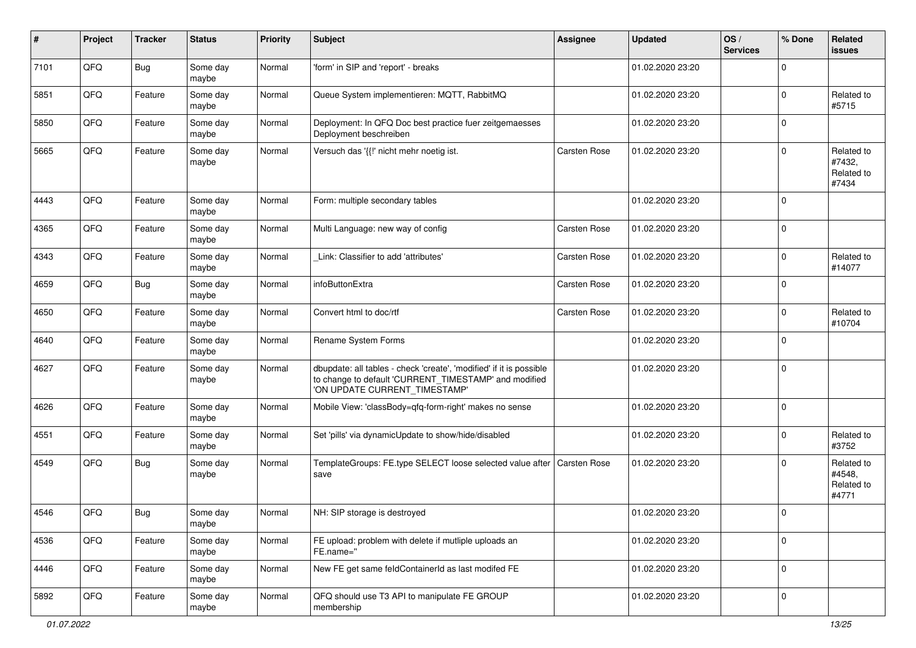| #    | Project | <b>Tracker</b> | <b>Status</b>     | <b>Priority</b> | <b>Subject</b>                                                                                                                                                | <b>Assignee</b>     | <b>Updated</b>   | OS/<br><b>Services</b> | % Done      | Related<br><b>issues</b>                    |
|------|---------|----------------|-------------------|-----------------|---------------------------------------------------------------------------------------------------------------------------------------------------------------|---------------------|------------------|------------------------|-------------|---------------------------------------------|
| 7101 | QFQ     | <b>Bug</b>     | Some day<br>maybe | Normal          | 'form' in SIP and 'report' - breaks                                                                                                                           |                     | 01.02.2020 23:20 |                        | 0           |                                             |
| 5851 | QFQ     | Feature        | Some day<br>maybe | Normal          | Queue System implementieren: MQTT, RabbitMQ                                                                                                                   |                     | 01.02.2020 23:20 |                        | $\Omega$    | Related to<br>#5715                         |
| 5850 | QFQ     | Feature        | Some day<br>maybe | Normal          | Deployment: In QFQ Doc best practice fuer zeitgemaesses<br>Deployment beschreiben                                                                             |                     | 01.02.2020 23:20 |                        | 0           |                                             |
| 5665 | QFQ     | Feature        | Some day<br>maybe | Normal          | Versuch das '{{!' nicht mehr noetig ist.                                                                                                                      | <b>Carsten Rose</b> | 01.02.2020 23:20 |                        | $\mathbf 0$ | Related to<br>#7432,<br>Related to<br>#7434 |
| 4443 | QFQ     | Feature        | Some day<br>maybe | Normal          | Form: multiple secondary tables                                                                                                                               |                     | 01.02.2020 23:20 |                        | $\Omega$    |                                             |
| 4365 | QFQ     | Feature        | Some day<br>maybe | Normal          | Multi Language: new way of config                                                                                                                             | <b>Carsten Rose</b> | 01.02.2020 23:20 |                        | $\Omega$    |                                             |
| 4343 | QFQ     | Feature        | Some day<br>maybe | Normal          | Link: Classifier to add 'attributes'                                                                                                                          | Carsten Rose        | 01.02.2020 23:20 |                        | $\Omega$    | Related to<br>#14077                        |
| 4659 | QFQ     | Bug            | Some day<br>maybe | Normal          | infoButtonExtra                                                                                                                                               | Carsten Rose        | 01.02.2020 23:20 |                        | $\Omega$    |                                             |
| 4650 | QFQ     | Feature        | Some day<br>maybe | Normal          | Convert html to doc/rtf                                                                                                                                       | <b>Carsten Rose</b> | 01.02.2020 23:20 |                        | 0           | Related to<br>#10704                        |
| 4640 | QFQ     | Feature        | Some day<br>maybe | Normal          | Rename System Forms                                                                                                                                           |                     | 01.02.2020 23:20 |                        | $\mathbf 0$ |                                             |
| 4627 | QFQ     | Feature        | Some day<br>maybe | Normal          | dbupdate: all tables - check 'create', 'modified' if it is possible<br>to change to default 'CURRENT_TIMESTAMP' and modified<br>'ON UPDATE CURRENT_TIMESTAMP' |                     | 01.02.2020 23:20 |                        | $\mathbf 0$ |                                             |
| 4626 | QFQ     | Feature        | Some day<br>maybe | Normal          | Mobile View: 'classBody=qfq-form-right' makes no sense                                                                                                        |                     | 01.02.2020 23:20 |                        | $\mathbf 0$ |                                             |
| 4551 | QFQ     | Feature        | Some day<br>maybe | Normal          | Set 'pills' via dynamicUpdate to show/hide/disabled                                                                                                           |                     | 01.02.2020 23:20 |                        | $\mathbf 0$ | Related to<br>#3752                         |
| 4549 | QFQ     | <b>Bug</b>     | Some day<br>maybe | Normal          | TemplateGroups: FE.type SELECT loose selected value after<br>save                                                                                             | Carsten Rose        | 01.02.2020 23:20 |                        | 0           | Related to<br>#4548,<br>Related to<br>#4771 |
| 4546 | QFQ     | Bug            | Some day<br>maybe | Normal          | NH: SIP storage is destroyed                                                                                                                                  |                     | 01.02.2020 23:20 |                        | $\mathbf 0$ |                                             |
| 4536 | QFG     | Feature        | Some day<br>maybe | Normal          | FE upload: problem with delete if mutliple uploads an<br>FE.name="                                                                                            |                     | 01.02.2020 23:20 |                        | $\mathbf 0$ |                                             |
| 4446 | QFG     | Feature        | Some day<br>maybe | Normal          | New FE get same feldContainerId as last modifed FE                                                                                                            |                     | 01.02.2020 23:20 |                        | $\mathbf 0$ |                                             |
| 5892 | QFG     | Feature        | Some day<br>maybe | Normal          | QFQ should use T3 API to manipulate FE GROUP<br>membership                                                                                                    |                     | 01.02.2020 23:20 |                        | 0           |                                             |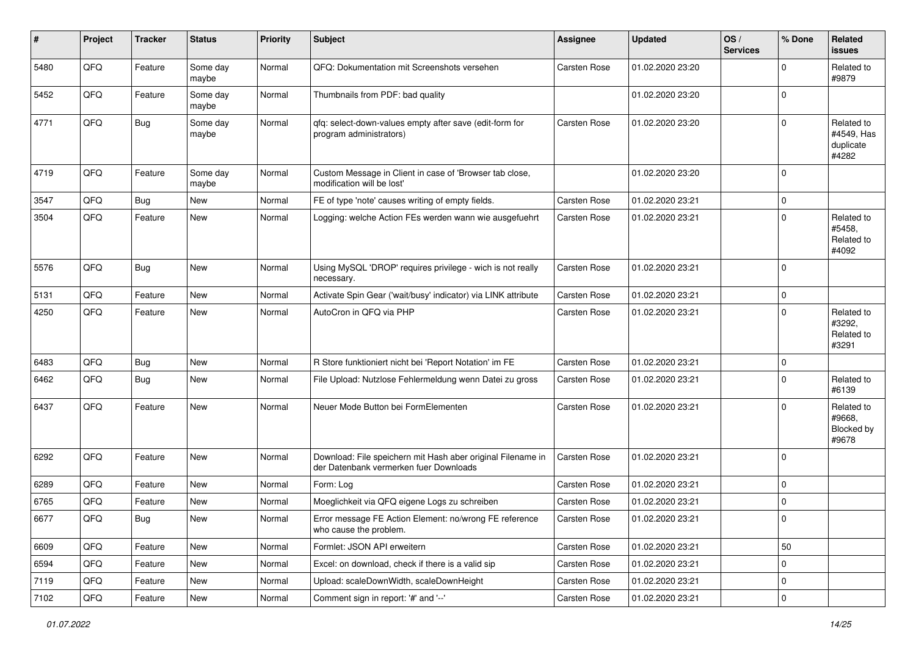| ∦    | Project        | <b>Tracker</b> | <b>Status</b>     | <b>Priority</b> | <b>Subject</b>                                                                                        | <b>Assignee</b>     | <b>Updated</b>   | OS/<br><b>Services</b> | % Done              | Related<br>issues                              |
|------|----------------|----------------|-------------------|-----------------|-------------------------------------------------------------------------------------------------------|---------------------|------------------|------------------------|---------------------|------------------------------------------------|
| 5480 | QFQ            | Feature        | Some day<br>maybe | Normal          | QFQ: Dokumentation mit Screenshots versehen                                                           | Carsten Rose        | 01.02.2020 23:20 |                        | 0                   | Related to<br>#9879                            |
| 5452 | QFQ            | Feature        | Some day<br>maybe | Normal          | Thumbnails from PDF: bad quality                                                                      |                     | 01.02.2020 23:20 |                        | $\mathbf 0$         |                                                |
| 4771 | QFQ            | Bug            | Some day<br>maybe | Normal          | qfq: select-down-values empty after save (edit-form for<br>program administrators)                    | Carsten Rose        | 01.02.2020 23:20 |                        | 0                   | Related to<br>#4549, Has<br>duplicate<br>#4282 |
| 4719 | QFQ            | Feature        | Some day<br>maybe | Normal          | Custom Message in Client in case of 'Browser tab close,<br>modification will be lost'                 |                     | 01.02.2020 23:20 |                        | $\mathbf 0$         |                                                |
| 3547 | QFQ            | Bug            | New               | Normal          | FE of type 'note' causes writing of empty fields.                                                     | Carsten Rose        | 01.02.2020 23:21 |                        | 0                   |                                                |
| 3504 | QFQ            | Feature        | New               | Normal          | Logging: welche Action FEs werden wann wie ausgefuehrt                                                | Carsten Rose        | 01.02.2020 23:21 |                        | 0                   | Related to<br>#5458,<br>Related to<br>#4092    |
| 5576 | QFQ            | <b>Bug</b>     | New               | Normal          | Using MySQL 'DROP' requires privilege - wich is not really<br>necessary.                              | Carsten Rose        | 01.02.2020 23:21 |                        | $\mathbf 0$         |                                                |
| 5131 | QFQ            | Feature        | <b>New</b>        | Normal          | Activate Spin Gear ('wait/busy' indicator) via LINK attribute                                         | Carsten Rose        | 01.02.2020 23:21 |                        | 0                   |                                                |
| 4250 | QFQ            | Feature        | New               | Normal          | AutoCron in QFQ via PHP                                                                               | Carsten Rose        | 01.02.2020 23:21 |                        | 0                   | Related to<br>#3292,<br>Related to<br>#3291    |
| 6483 | QFQ            | <b>Bug</b>     | New               | Normal          | R Store funktioniert nicht bei 'Report Notation' im FE                                                | <b>Carsten Rose</b> | 01.02.2020 23:21 |                        | 0                   |                                                |
| 6462 | QFQ            | <b>Bug</b>     | New               | Normal          | File Upload: Nutzlose Fehlermeldung wenn Datei zu gross                                               | Carsten Rose        | 01.02.2020 23:21 |                        | 0                   | Related to<br>#6139                            |
| 6437 | QFQ            | Feature        | New               | Normal          | Neuer Mode Button bei FormElementen                                                                   | Carsten Rose        | 01.02.2020 23:21 |                        | 0                   | Related to<br>#9668.<br>Blocked by<br>#9678    |
| 6292 | QFQ            | Feature        | New               | Normal          | Download: File speichern mit Hash aber original Filename in<br>der Datenbank vermerken fuer Downloads | Carsten Rose        | 01.02.2020 23:21 |                        | $\mathbf 0$         |                                                |
| 6289 | QFQ            | Feature        | New               | Normal          | Form: Log                                                                                             | <b>Carsten Rose</b> | 01.02.2020 23:21 |                        | $\mathbf 0$         |                                                |
| 6765 | QFQ            | Feature        | New               | Normal          | Moeglichkeit via QFQ eigene Logs zu schreiben                                                         | Carsten Rose        | 01.02.2020 23:21 |                        | 0                   |                                                |
| 6677 | $\mathsf{QFQ}$ | Bug            | New               | Normal          | Error message FE Action Element: no/wrong FE reference<br>who cause the problem.                      | Carsten Rose        | 01.02.2020 23:21 |                        | 0                   |                                                |
| 6609 | QFQ            | Feature        | New               | Normal          | Formlet: JSON API erweitern                                                                           | Carsten Rose        | 01.02.2020 23:21 |                        | 50                  |                                                |
| 6594 | QFQ            | Feature        | New               | Normal          | Excel: on download, check if there is a valid sip                                                     | Carsten Rose        | 01.02.2020 23:21 |                        | $\mathbf 0$         |                                                |
| 7119 | QFQ            | Feature        | New               | Normal          | Upload: scaleDownWidth, scaleDownHeight                                                               | Carsten Rose        | 01.02.2020 23:21 |                        | 0                   |                                                |
| 7102 | QFQ            | Feature        | New               | Normal          | Comment sign in report: '#' and '--'                                                                  | Carsten Rose        | 01.02.2020 23:21 |                        | $\mathsf{O}\xspace$ |                                                |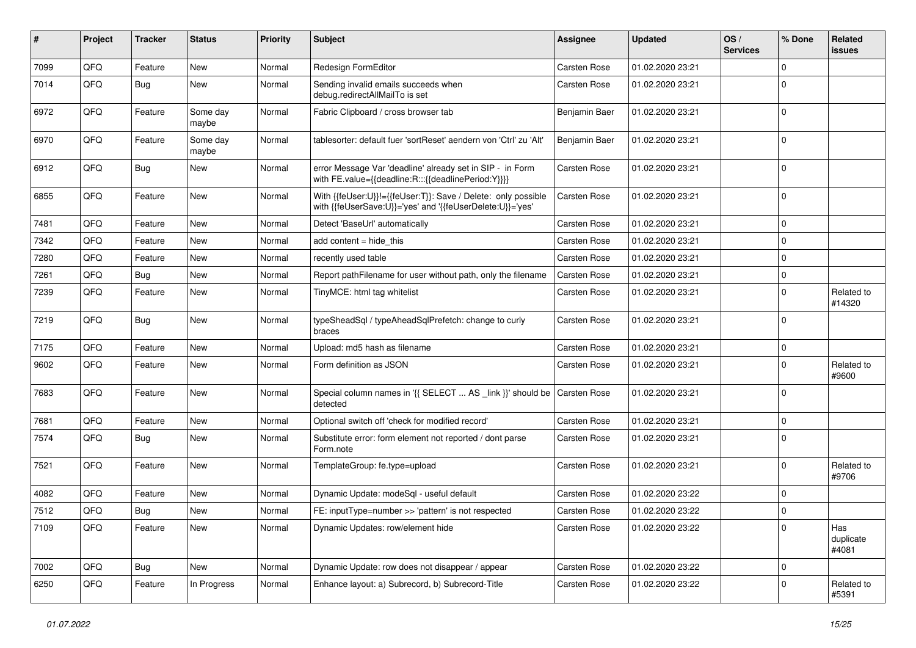| $\vert$ # | Project | <b>Tracker</b> | <b>Status</b>     | <b>Priority</b> | <b>Subject</b>                                                                                                             | <b>Assignee</b>     | <b>Updated</b>   | OS/<br><b>Services</b> | % Done         | Related<br>issues         |
|-----------|---------|----------------|-------------------|-----------------|----------------------------------------------------------------------------------------------------------------------------|---------------------|------------------|------------------------|----------------|---------------------------|
| 7099      | QFQ     | Feature        | New               | Normal          | Redesign FormEditor                                                                                                        | <b>Carsten Rose</b> | 01.02.2020 23:21 |                        | $\mathbf 0$    |                           |
| 7014      | QFQ     | Bug            | New               | Normal          | Sending invalid emails succeeds when<br>debug.redirectAllMailTo is set                                                     | Carsten Rose        | 01.02.2020 23:21 |                        | $\mathbf 0$    |                           |
| 6972      | QFQ     | Feature        | Some day<br>maybe | Normal          | Fabric Clipboard / cross browser tab                                                                                       | Benjamin Baer       | 01.02.2020 23:21 |                        | $\mathbf 0$    |                           |
| 6970      | QFQ     | Feature        | Some day<br>maybe | Normal          | tablesorter: default fuer 'sortReset' aendern von 'Ctrl' zu 'Alt'                                                          | Benjamin Baer       | 01.02.2020 23:21 |                        | $\Omega$       |                           |
| 6912      | QFQ     | Bug            | <b>New</b>        | Normal          | error Message Var 'deadline' already set in SIP - in Form<br>with FE.value={{deadline:R:::{{deadlinePeriod:Y}}}}           | Carsten Rose        | 01.02.2020 23:21 |                        | $\Omega$       |                           |
| 6855      | QFQ     | Feature        | New               | Normal          | With {{feUser:U}}!={{feUser:T}}: Save / Delete: only possible<br>with {{feUserSave:U}}='yes' and '{{feUserDelete:U}}='yes' | Carsten Rose        | 01.02.2020 23:21 |                        | $\mathbf 0$    |                           |
| 7481      | QFQ     | Feature        | <b>New</b>        | Normal          | Detect 'BaseUrl' automatically                                                                                             | <b>Carsten Rose</b> | 01.02.2020 23:21 |                        | $\mathbf 0$    |                           |
| 7342      | QFQ     | Feature        | <b>New</b>        | Normal          | add content = hide this                                                                                                    | Carsten Rose        | 01.02.2020 23:21 |                        | $\overline{0}$ |                           |
| 7280      | QFQ     | Feature        | <b>New</b>        | Normal          | recently used table                                                                                                        | <b>Carsten Rose</b> | 01.02.2020 23:21 |                        | $\mathbf 0$    |                           |
| 7261      | QFQ     | Bug            | New               | Normal          | Report pathFilename for user without path, only the filename                                                               | Carsten Rose        | 01.02.2020 23:21 |                        | 0              |                           |
| 7239      | QFQ     | Feature        | New               | Normal          | TinyMCE: html tag whitelist                                                                                                | Carsten Rose        | 01.02.2020 23:21 |                        | $\mathbf 0$    | Related to<br>#14320      |
| 7219      | QFQ     | Bug            | New               | Normal          | typeSheadSql / typeAheadSqlPrefetch: change to curly<br>braces                                                             | Carsten Rose        | 01.02.2020 23:21 |                        | $\Omega$       |                           |
| 7175      | QFQ     | Feature        | <b>New</b>        | Normal          | Upload: md5 hash as filename                                                                                               | Carsten Rose        | 01.02.2020 23:21 |                        | 0              |                           |
| 9602      | QFQ     | Feature        | New               | Normal          | Form definition as JSON                                                                                                    | Carsten Rose        | 01.02.2020 23:21 |                        | $\Omega$       | Related to<br>#9600       |
| 7683      | QFQ     | Feature        | <b>New</b>        | Normal          | Special column names in '{{ SELECT  AS _link }}' should be<br>detected                                                     | Carsten Rose        | 01.02.2020 23:21 |                        | $\overline{0}$ |                           |
| 7681      | QFQ     | Feature        | New               | Normal          | Optional switch off 'check for modified record'                                                                            | Carsten Rose        | 01.02.2020 23:21 |                        | $\mathbf 0$    |                           |
| 7574      | QFQ     | Bug            | New               | Normal          | Substitute error: form element not reported / dont parse<br>Form.note                                                      | Carsten Rose        | 01.02.2020 23:21 |                        | 0              |                           |
| 7521      | QFQ     | Feature        | New               | Normal          | TemplateGroup: fe.type=upload                                                                                              | Carsten Rose        | 01.02.2020 23:21 |                        | $\Omega$       | Related to<br>#9706       |
| 4082      | QFQ     | Feature        | New               | Normal          | Dynamic Update: modeSgl - useful default                                                                                   | Carsten Rose        | 01.02.2020 23:22 |                        | 0              |                           |
| 7512      | QFQ     | Bug            | <b>New</b>        | Normal          | FE: inputType=number >> 'pattern' is not respected                                                                         | Carsten Rose        | 01.02.2020 23:22 |                        | $\mathbf 0$    |                           |
| 7109      | QFQ     | Feature        | <b>New</b>        | Normal          | Dynamic Updates: row/element hide                                                                                          | Carsten Rose        | 01.02.2020 23:22 |                        | $\mathbf 0$    | Has<br>duplicate<br>#4081 |
| 7002      | QFQ     | <b>Bug</b>     | New               | Normal          | Dynamic Update: row does not disappear / appear                                                                            | <b>Carsten Rose</b> | 01.02.2020 23:22 |                        | $\mathbf 0$    |                           |
| 6250      | QFQ     | Feature        | In Progress       | Normal          | Enhance layout: a) Subrecord, b) Subrecord-Title                                                                           | Carsten Rose        | 01.02.2020 23:22 |                        | $\Omega$       | Related to<br>#5391       |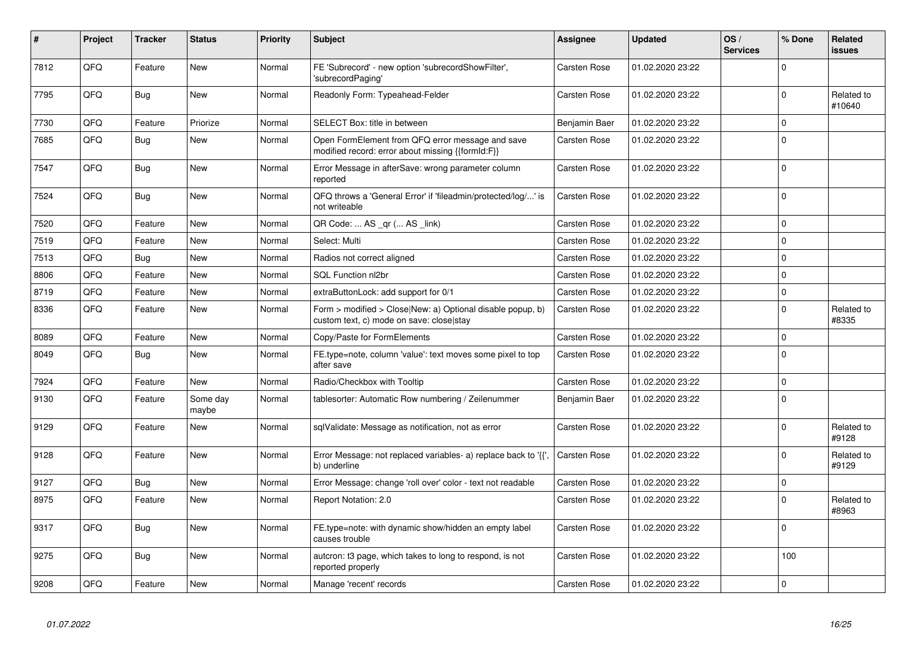| #    | Project | <b>Tracker</b> | <b>Status</b>     | <b>Priority</b> | <b>Subject</b>                                                                                         | Assignee            | <b>Updated</b>   | OS/<br><b>Services</b> | % Done         | Related<br>issues    |
|------|---------|----------------|-------------------|-----------------|--------------------------------------------------------------------------------------------------------|---------------------|------------------|------------------------|----------------|----------------------|
| 7812 | QFQ     | Feature        | <b>New</b>        | Normal          | FE 'Subrecord' - new option 'subrecordShowFilter',<br>'subrecordPaging'                                | Carsten Rose        | 01.02.2020 23:22 |                        | 0              |                      |
| 7795 | QFQ     | Bug            | New               | Normal          | Readonly Form: Typeahead-Felder                                                                        | Carsten Rose        | 01.02.2020 23:22 |                        | $\overline{0}$ | Related to<br>#10640 |
| 7730 | QFQ     | Feature        | Priorize          | Normal          | SELECT Box: title in between                                                                           | Benjamin Baer       | 01.02.2020 23:22 |                        | $\mathbf 0$    |                      |
| 7685 | QFQ     | Bug            | <b>New</b>        | Normal          | Open FormElement from QFQ error message and save<br>modified record: error about missing {{formId:F}}  | Carsten Rose        | 01.02.2020 23:22 |                        | $\Omega$       |                      |
| 7547 | QFQ     | <b>Bug</b>     | <b>New</b>        | Normal          | Error Message in afterSave: wrong parameter column<br>reported                                         | Carsten Rose        | 01.02.2020 23:22 |                        | $\Omega$       |                      |
| 7524 | QFQ     | Bug            | <b>New</b>        | Normal          | QFQ throws a 'General Error' if 'fileadmin/protected/log/' is<br>not writeable                         | Carsten Rose        | 01.02.2020 23:22 |                        | $\Omega$       |                      |
| 7520 | QFQ     | Feature        | <b>New</b>        | Normal          | QR Code:  AS _qr ( AS _link)                                                                           | <b>Carsten Rose</b> | 01.02.2020 23:22 |                        | $\mathbf 0$    |                      |
| 7519 | QFQ     | Feature        | New               | Normal          | Select: Multi                                                                                          | Carsten Rose        | 01.02.2020 23:22 |                        | 0              |                      |
| 7513 | QFQ     | Bug            | <b>New</b>        | Normal          | Radios not correct aligned                                                                             | Carsten Rose        | 01.02.2020 23:22 |                        | $\mathbf 0$    |                      |
| 8806 | QFQ     | Feature        | New               | Normal          | SQL Function nl2br                                                                                     | Carsten Rose        | 01.02.2020 23:22 |                        | $\Omega$       |                      |
| 8719 | QFQ     | Feature        | <b>New</b>        | Normal          | extraButtonLock: add support for 0/1                                                                   | <b>Carsten Rose</b> | 01.02.2020 23:22 |                        | 0              |                      |
| 8336 | QFQ     | Feature        | New               | Normal          | Form > modified > Close New: a) Optional disable popup, b)<br>custom text, c) mode on save: closelstay | Carsten Rose        | 01.02.2020 23:22 |                        | $\Omega$       | Related to<br>#8335  |
| 8089 | QFQ     | Feature        | New               | Normal          | Copy/Paste for FormElements                                                                            | <b>Carsten Rose</b> | 01.02.2020 23:22 |                        | $\Omega$       |                      |
| 8049 | QFQ     | Bug            | <b>New</b>        | Normal          | FE.type=note, column 'value': text moves some pixel to top<br>after save                               | Carsten Rose        | 01.02.2020 23:22 |                        | $\Omega$       |                      |
| 7924 | QFQ     | Feature        | <b>New</b>        | Normal          | Radio/Checkbox with Tooltip                                                                            | Carsten Rose        | 01.02.2020 23:22 |                        | $\mathbf 0$    |                      |
| 9130 | QFQ     | Feature        | Some day<br>maybe | Normal          | tablesorter: Automatic Row numbering / Zeilenummer                                                     | Benjamin Baer       | 01.02.2020 23:22 |                        | $\Omega$       |                      |
| 9129 | QFQ     | Feature        | <b>New</b>        | Normal          | sqlValidate: Message as notification, not as error                                                     | Carsten Rose        | 01.02.2020 23:22 |                        | $\Omega$       | Related to<br>#9128  |
| 9128 | QFQ     | Feature        | <b>New</b>        | Normal          | Error Message: not replaced variables- a) replace back to '{',<br>b) underline                         | Carsten Rose        | 01.02.2020 23:22 |                        | $\mathbf 0$    | Related to<br>#9129  |
| 9127 | QFQ     | <b>Bug</b>     | <b>New</b>        | Normal          | Error Message: change 'roll over' color - text not readable                                            | Carsten Rose        | 01.02.2020 23:22 |                        | $\mathbf 0$    |                      |
| 8975 | QFQ     | Feature        | New               | Normal          | Report Notation: 2.0                                                                                   | Carsten Rose        | 01.02.2020 23:22 |                        | $\mathbf 0$    | Related to<br>#8963  |
| 9317 | QFQ     | <b>Bug</b>     | New               | Normal          | FE.type=note: with dynamic show/hidden an empty label<br>causes trouble                                | Carsten Rose        | 01.02.2020 23:22 |                        | $\mathbf 0$    |                      |
| 9275 | QFQ     | <b>Bug</b>     | New               | Normal          | autcron: t3 page, which takes to long to respond, is not<br>reported properly                          | Carsten Rose        | 01.02.2020 23:22 |                        | 100            |                      |
| 9208 | QFQ     | Feature        | New               | Normal          | Manage 'recent' records                                                                                | <b>Carsten Rose</b> | 01.02.2020 23:22 |                        | $\pmb{0}$      |                      |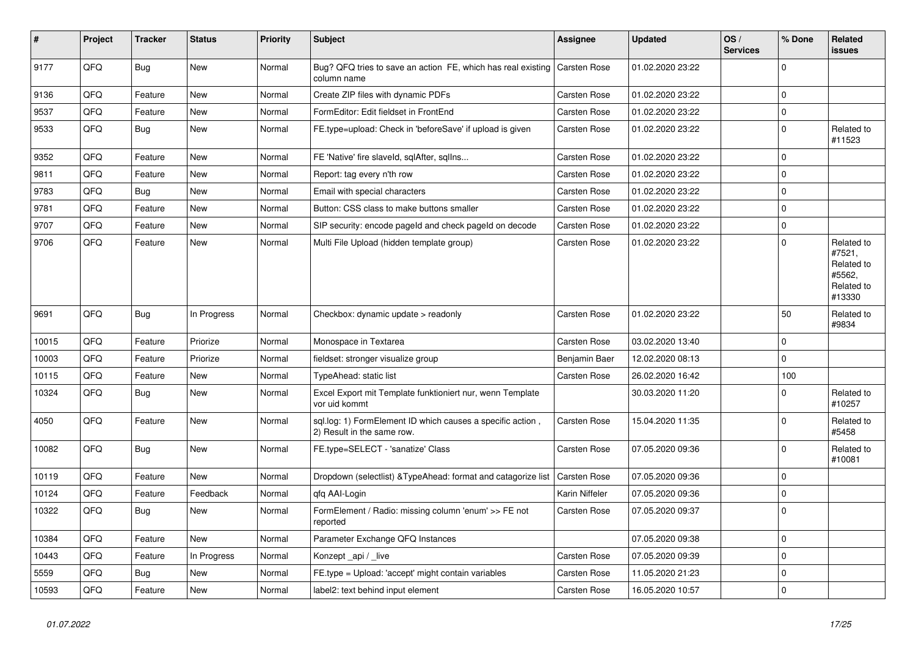| $\vert$ # | Project | <b>Tracker</b> | <b>Status</b> | <b>Priority</b> | <b>Subject</b>                                                                           | Assignee            | <b>Updated</b>   | OS/<br><b>Services</b> | % Done      | Related<br>issues                                                    |
|-----------|---------|----------------|---------------|-----------------|------------------------------------------------------------------------------------------|---------------------|------------------|------------------------|-------------|----------------------------------------------------------------------|
| 9177      | QFQ     | <b>Bug</b>     | <b>New</b>    | Normal          | Bug? QFQ tries to save an action FE, which has real existing<br>column name              | Carsten Rose        | 01.02.2020 23:22 |                        | $\mathbf 0$ |                                                                      |
| 9136      | QFQ     | Feature        | <b>New</b>    | Normal          | Create ZIP files with dynamic PDFs                                                       | <b>Carsten Rose</b> | 01.02.2020 23:22 |                        | $\Omega$    |                                                                      |
| 9537      | QFQ     | Feature        | <b>New</b>    | Normal          | FormEditor: Edit fieldset in FrontEnd                                                    | <b>Carsten Rose</b> | 01.02.2020 23:22 |                        | $\Omega$    |                                                                      |
| 9533      | QFQ     | Bug            | New           | Normal          | FE.type=upload: Check in 'beforeSave' if upload is given                                 | Carsten Rose        | 01.02.2020 23:22 |                        | $\mathbf 0$ | Related to<br>#11523                                                 |
| 9352      | QFQ     | Feature        | New           | Normal          | FE 'Native' fire slaveld, sqlAfter, sqllns                                               | Carsten Rose        | 01.02.2020 23:22 |                        | $\mathbf 0$ |                                                                      |
| 9811      | QFQ     | Feature        | New           | Normal          | Report: tag every n'th row                                                               | Carsten Rose        | 01.02.2020 23:22 |                        | $\mathbf 0$ |                                                                      |
| 9783      | QFQ     | <b>Bug</b>     | New           | Normal          | Email with special characters                                                            | Carsten Rose        | 01.02.2020 23:22 |                        | $\mathbf 0$ |                                                                      |
| 9781      | QFQ     | Feature        | New           | Normal          | Button: CSS class to make buttons smaller                                                | Carsten Rose        | 01.02.2020 23:22 |                        | $\Omega$    |                                                                      |
| 9707      | QFQ     | Feature        | New           | Normal          | SIP security: encode pageld and check pageld on decode                                   | Carsten Rose        | 01.02.2020 23:22 |                        | $\Omega$    |                                                                      |
| 9706      | QFQ     | Feature        | New           | Normal          | Multi File Upload (hidden template group)                                                | Carsten Rose        | 01.02.2020 23:22 |                        | $\Omega$    | Related to<br>#7521,<br>Related to<br>#5562,<br>Related to<br>#13330 |
| 9691      | QFQ     | <b>Bug</b>     | In Progress   | Normal          | Checkbox: dynamic update > readonly                                                      | <b>Carsten Rose</b> | 01.02.2020 23:22 |                        | 50          | Related to<br>#9834                                                  |
| 10015     | QFQ     | Feature        | Priorize      | Normal          | Monospace in Textarea                                                                    | Carsten Rose        | 03.02.2020 13:40 |                        | $\mathbf 0$ |                                                                      |
| 10003     | QFQ     | Feature        | Priorize      | Normal          | fieldset: stronger visualize group                                                       | Benjamin Baer       | 12.02.2020 08:13 |                        | $\mathbf 0$ |                                                                      |
| 10115     | QFQ     | Feature        | <b>New</b>    | Normal          | TypeAhead: static list                                                                   | Carsten Rose        | 26.02.2020 16:42 |                        | 100         |                                                                      |
| 10324     | QFQ     | <b>Bug</b>     | New           | Normal          | Excel Export mit Template funktioniert nur, wenn Template<br>vor uid kommt               |                     | 30.03.2020 11:20 |                        | $\Omega$    | Related to<br>#10257                                                 |
| 4050      | QFQ     | Feature        | <b>New</b>    | Normal          | sql.log: 1) FormElement ID which causes a specific action,<br>2) Result in the same row. | <b>Carsten Rose</b> | 15.04.2020 11:35 |                        | $\mathbf 0$ | Related to<br>#5458                                                  |
| 10082     | QFQ     | <b>Bug</b>     | New           | Normal          | FE.type=SELECT - 'sanatize' Class                                                        | Carsten Rose        | 07.05.2020 09:36 |                        | $\mathbf 0$ | Related to<br>#10081                                                 |
| 10119     | QFQ     | Feature        | <b>New</b>    | Normal          | Dropdown (selectlist) & Type Ahead: format and catagorize list                           | Carsten Rose        | 07.05.2020 09:36 |                        | $\Omega$    |                                                                      |
| 10124     | QFQ     | Feature        | Feedback      | Normal          | gfg AAI-Login                                                                            | Karin Niffeler      | 07.05.2020 09:36 |                        | $\mathbf 0$ |                                                                      |
| 10322     | QFQ     | Bug            | New           | Normal          | FormElement / Radio: missing column 'enum' >> FE not<br>reported                         | Carsten Rose        | 07.05.2020 09:37 |                        | $\mathbf 0$ |                                                                      |
| 10384     | QFQ     | Feature        | <b>New</b>    | Normal          | Parameter Exchange QFQ Instances                                                         |                     | 07.05.2020 09:38 |                        | $\mathbf 0$ |                                                                      |
| 10443     | QFQ     | Feature        | In Progress   | Normal          | Konzept_api / _live                                                                      | Carsten Rose        | 07.05.2020 09:39 |                        | $\mathbf 0$ |                                                                      |
| 5559      | QFQ     | <b>Bug</b>     | New           | Normal          | FE.type = Upload: 'accept' might contain variables                                       | Carsten Rose        | 11.05.2020 21:23 |                        | $\Omega$    |                                                                      |
| 10593     | QFQ     | Feature        | New           | Normal          | label2: text behind input element                                                        | Carsten Rose        | 16.05.2020 10:57 |                        | $\Omega$    |                                                                      |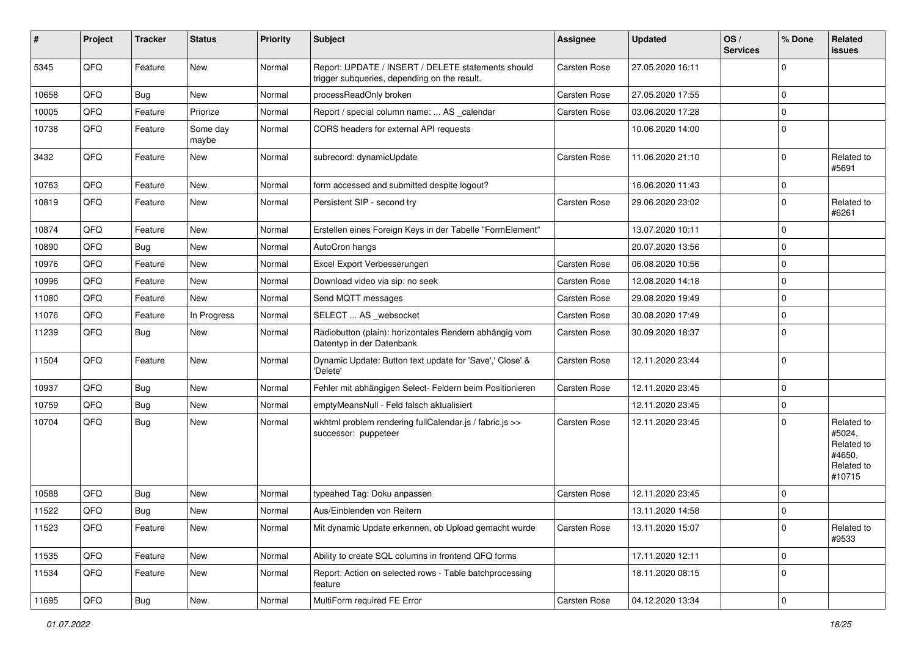| #     | Project | <b>Tracker</b> | <b>Status</b>     | <b>Priority</b> | <b>Subject</b>                                                                                     | <b>Assignee</b>     | <b>Updated</b>   | OS/<br><b>Services</b> | % Done              | Related<br>issues                                                    |
|-------|---------|----------------|-------------------|-----------------|----------------------------------------------------------------------------------------------------|---------------------|------------------|------------------------|---------------------|----------------------------------------------------------------------|
| 5345  | QFQ     | Feature        | <b>New</b>        | Normal          | Report: UPDATE / INSERT / DELETE statements should<br>trigger subqueries, depending on the result. | Carsten Rose        | 27.05.2020 16:11 |                        | $\mathbf 0$         |                                                                      |
| 10658 | QFQ     | Bug            | <b>New</b>        | Normal          | processReadOnly broken                                                                             | Carsten Rose        | 27.05.2020 17:55 |                        | $\mathbf 0$         |                                                                      |
| 10005 | QFQ     | Feature        | Priorize          | Normal          | Report / special column name:  AS _calendar                                                        | <b>Carsten Rose</b> | 03.06.2020 17:28 |                        | $\mathbf 0$         |                                                                      |
| 10738 | QFQ     | Feature        | Some day<br>maybe | Normal          | CORS headers for external API requests                                                             |                     | 10.06.2020 14:00 |                        | $\Omega$            |                                                                      |
| 3432  | QFQ     | Feature        | <b>New</b>        | Normal          | subrecord: dynamicUpdate                                                                           | Carsten Rose        | 11.06.2020 21:10 |                        | $\Omega$            | Related to<br>#5691                                                  |
| 10763 | QFQ     | Feature        | <b>New</b>        | Normal          | form accessed and submitted despite logout?                                                        |                     | 16.06.2020 11:43 |                        | $\mathbf 0$         |                                                                      |
| 10819 | QFQ     | Feature        | New               | Normal          | Persistent SIP - second try                                                                        | Carsten Rose        | 29.06.2020 23:02 |                        | $\mathbf 0$         | Related to<br>#6261                                                  |
| 10874 | QFQ     | Feature        | <b>New</b>        | Normal          | Erstellen eines Foreign Keys in der Tabelle "FormElement"                                          |                     | 13.07.2020 10:11 |                        | $\mathbf 0$         |                                                                      |
| 10890 | QFQ     | Bug            | New               | Normal          | AutoCron hangs                                                                                     |                     | 20.07.2020 13:56 |                        | $\mathbf 0$         |                                                                      |
| 10976 | QFQ     | Feature        | New               | Normal          | Excel Export Verbesserungen                                                                        | <b>Carsten Rose</b> | 06.08.2020 10:56 |                        | $\mathbf 0$         |                                                                      |
| 10996 | QFQ     | Feature        | <b>New</b>        | Normal          | Download video via sip: no seek                                                                    | Carsten Rose        | 12.08.2020 14:18 |                        | $\mathbf 0$         |                                                                      |
| 11080 | QFQ     | Feature        | <b>New</b>        | Normal          | Send MQTT messages                                                                                 | Carsten Rose        | 29.08.2020 19:49 |                        | $\mathbf 0$         |                                                                      |
| 11076 | QFQ     | Feature        | In Progress       | Normal          | SELECT  AS _websocket                                                                              | Carsten Rose        | 30.08.2020 17:49 |                        | $\mathbf 0$         |                                                                      |
| 11239 | QFQ     | Bug            | <b>New</b>        | Normal          | Radiobutton (plain): horizontales Rendern abhängig vom<br>Datentyp in der Datenbank                | Carsten Rose        | 30.09.2020 18:37 |                        | $\Omega$            |                                                                      |
| 11504 | QFQ     | Feature        | <b>New</b>        | Normal          | Dynamic Update: Button text update for 'Save',' Close' &<br>'Delete'                               | Carsten Rose        | 12.11.2020 23:44 |                        | $\mathbf 0$         |                                                                      |
| 10937 | QFQ     | Bug            | <b>New</b>        | Normal          | Fehler mit abhängigen Select- Feldern beim Positionieren                                           | Carsten Rose        | 12.11.2020 23:45 |                        | $\mathbf 0$         |                                                                      |
| 10759 | QFQ     | <b>Bug</b>     | <b>New</b>        | Normal          | emptyMeansNull - Feld falsch aktualisiert                                                          |                     | 12.11.2020 23:45 |                        | $\mathbf 0$         |                                                                      |
| 10704 | QFQ     | Bug            | New               | Normal          | wkhtml problem rendering fullCalendar.js / fabric.js >><br>successor: puppeteer                    | Carsten Rose        | 12.11.2020 23:45 |                        | $\Omega$            | Related to<br>#5024,<br>Related to<br>#4650,<br>Related to<br>#10715 |
| 10588 | QFQ     | <b>Bug</b>     | <b>New</b>        | Normal          | typeahed Tag: Doku anpassen                                                                        | Carsten Rose        | 12.11.2020 23:45 |                        | $\mathbf 0$         |                                                                      |
| 11522 | QFQ     | <b>Bug</b>     | New               | Normal          | Aus/Einblenden von Reitern                                                                         |                     | 13.11.2020 14:58 |                        | $\mathbf 0$         |                                                                      |
| 11523 | QFQ     | Feature        | New               | Normal          | Mit dynamic Update erkennen, ob Upload gemacht wurde                                               | Carsten Rose        | 13.11.2020 15:07 |                        | $\mathbf 0$         | Related to<br>#9533                                                  |
| 11535 | QFQ     | Feature        | New               | Normal          | Ability to create SQL columns in frontend QFQ forms                                                |                     | 17.11.2020 12:11 |                        | $\mathbf 0$         |                                                                      |
| 11534 | QFQ     | Feature        | New               | Normal          | Report: Action on selected rows - Table batchprocessing<br>feature                                 |                     | 18.11.2020 08:15 |                        | $\mathbf 0$         |                                                                      |
| 11695 | QFG     | <b>Bug</b>     | New               | Normal          | MultiForm required FE Error                                                                        | Carsten Rose        | 04.12.2020 13:34 |                        | $\mathsf{O}\xspace$ |                                                                      |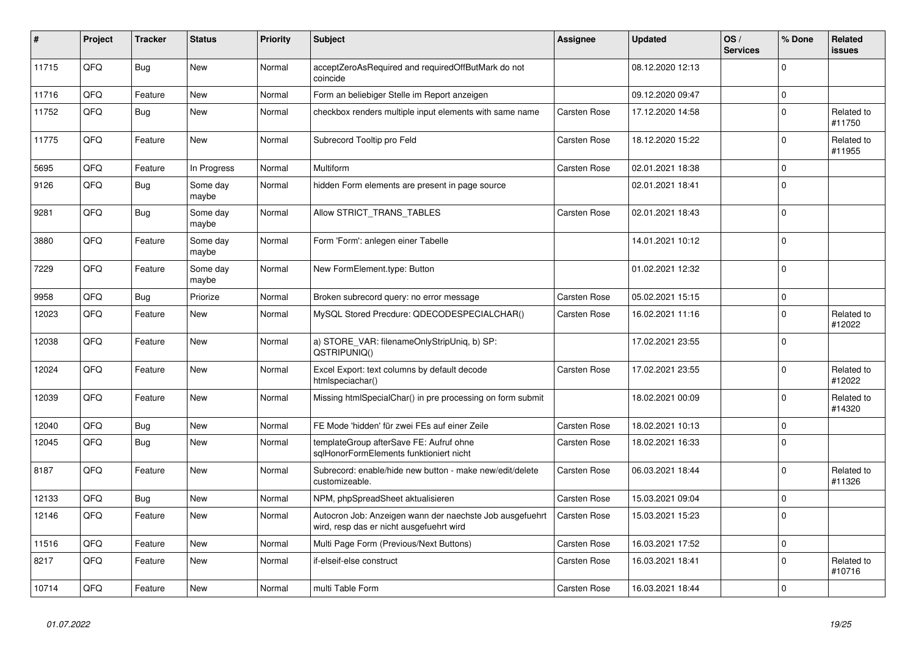| #     | Project | <b>Tracker</b> | <b>Status</b>     | <b>Priority</b> | <b>Subject</b>                                                                                       | Assignee            | <b>Updated</b>   | OS/<br><b>Services</b> | % Done      | Related<br>issues    |
|-------|---------|----------------|-------------------|-----------------|------------------------------------------------------------------------------------------------------|---------------------|------------------|------------------------|-------------|----------------------|
| 11715 | QFQ     | Bug            | <b>New</b>        | Normal          | acceptZeroAsRequired and requiredOffButMark do not<br>coincide                                       |                     | 08.12.2020 12:13 |                        | $\Omega$    |                      |
| 11716 | QFQ     | Feature        | New               | Normal          | Form an beliebiger Stelle im Report anzeigen                                                         |                     | 09.12.2020 09:47 |                        | $\mathbf 0$ |                      |
| 11752 | QFQ     | <b>Bug</b>     | New               | Normal          | checkbox renders multiple input elements with same name                                              | Carsten Rose        | 17.12.2020 14:58 |                        | $\Omega$    | Related to<br>#11750 |
| 11775 | QFQ     | Feature        | New               | Normal          | Subrecord Tooltip pro Feld                                                                           | Carsten Rose        | 18.12.2020 15:22 |                        | $\Omega$    | Related to<br>#11955 |
| 5695  | QFQ     | Feature        | In Progress       | Normal          | Multiform                                                                                            | Carsten Rose        | 02.01.2021 18:38 |                        | $\Omega$    |                      |
| 9126  | QFQ     | Bug            | Some day<br>maybe | Normal          | hidden Form elements are present in page source                                                      |                     | 02.01.2021 18:41 |                        | $\Omega$    |                      |
| 9281  | QFQ     | <b>Bug</b>     | Some day<br>maybe | Normal          | Allow STRICT_TRANS_TABLES                                                                            | Carsten Rose        | 02.01.2021 18:43 |                        | $\Omega$    |                      |
| 3880  | QFQ     | Feature        | Some day<br>maybe | Normal          | Form 'Form': anlegen einer Tabelle                                                                   |                     | 14.01.2021 10:12 |                        | $\Omega$    |                      |
| 7229  | QFQ     | Feature        | Some day<br>maybe | Normal          | New FormElement.type: Button                                                                         |                     | 01.02.2021 12:32 |                        | $\Omega$    |                      |
| 9958  | QFQ     | Bug            | Priorize          | Normal          | Broken subrecord query: no error message                                                             | Carsten Rose        | 05.02.2021 15:15 |                        | $\Omega$    |                      |
| 12023 | QFQ     | Feature        | <b>New</b>        | Normal          | MySQL Stored Precdure: QDECODESPECIALCHAR()                                                          | Carsten Rose        | 16.02.2021 11:16 |                        | $\Omega$    | Related to<br>#12022 |
| 12038 | QFQ     | Feature        | <b>New</b>        | Normal          | a) STORE_VAR: filenameOnlyStripUniq, b) SP:<br>QSTRIPUNIQ()                                          |                     | 17.02.2021 23:55 |                        | $\Omega$    |                      |
| 12024 | QFQ     | Feature        | New               | Normal          | Excel Export: text columns by default decode<br>htmlspeciachar()                                     | Carsten Rose        | 17.02.2021 23:55 |                        | $\Omega$    | Related to<br>#12022 |
| 12039 | QFQ     | Feature        | New               | Normal          | Missing htmlSpecialChar() in pre processing on form submit                                           |                     | 18.02.2021 00:09 |                        | $\Omega$    | Related to<br>#14320 |
| 12040 | QFQ     | <b>Bug</b>     | <b>New</b>        | Normal          | FE Mode 'hidden' für zwei FEs auf einer Zeile                                                        | Carsten Rose        | 18.02.2021 10:13 |                        | $\Omega$    |                      |
| 12045 | QFQ     | <b>Bug</b>     | <b>New</b>        | Normal          | templateGroup afterSave FE: Aufruf ohne<br>sqlHonorFormElements funktioniert nicht                   | Carsten Rose        | 18.02.2021 16:33 |                        | $\Omega$    |                      |
| 8187  | QFQ     | Feature        | New               | Normal          | Subrecord: enable/hide new button - make new/edit/delete<br>customizeable.                           | Carsten Rose        | 06.03.2021 18:44 |                        | $\Omega$    | Related to<br>#11326 |
| 12133 | QFQ     | <b>Bug</b>     | <b>New</b>        | Normal          | NPM, phpSpreadSheet aktualisieren                                                                    | Carsten Rose        | 15.03.2021 09:04 |                        | 0           |                      |
| 12146 | QFQ     | Feature        | New               | Normal          | Autocron Job: Anzeigen wann der naechste Job ausgefuehrt<br>wird, resp das er nicht ausgefuehrt wird | <b>Carsten Rose</b> | 15.03.2021 15:23 |                        | $\Omega$    |                      |
| 11516 | QFQ     | Feature        | <b>New</b>        | Normal          | Multi Page Form (Previous/Next Buttons)                                                              | Carsten Rose        | 16.03.2021 17:52 |                        | $\Omega$    |                      |
| 8217  | QFQ     | Feature        | New               | Normal          | if-elseif-else construct                                                                             | Carsten Rose        | 16.03.2021 18:41 |                        | $\Omega$    | Related to<br>#10716 |
| 10714 | QFQ     | Feature        | New               | Normal          | multi Table Form                                                                                     | <b>Carsten Rose</b> | 16.03.2021 18:44 |                        | $\Omega$    |                      |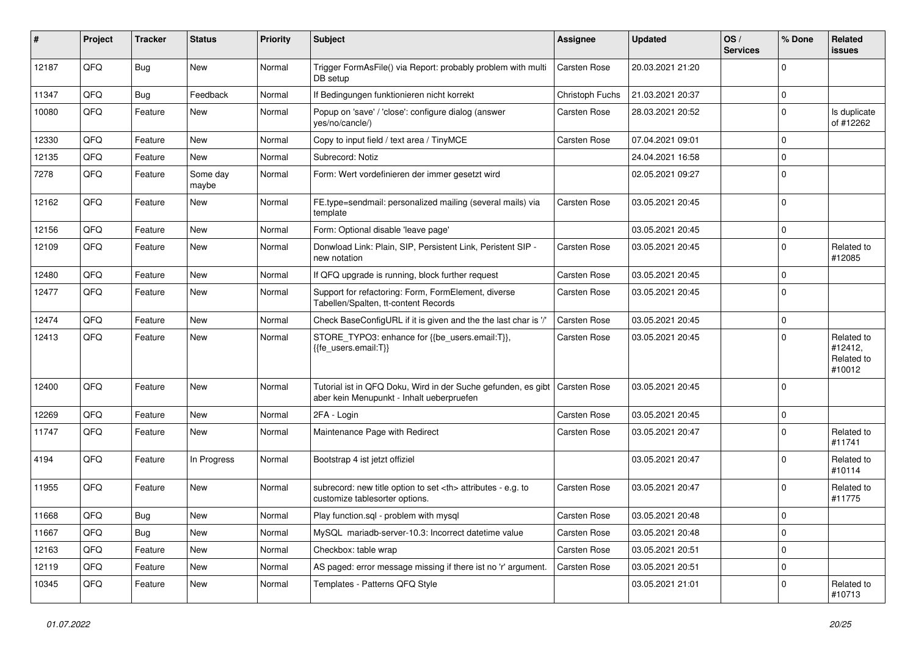| #     | Project | <b>Tracker</b> | <b>Status</b>     | <b>Priority</b> | <b>Subject</b>                                                                                             | <b>Assignee</b>                                        | <b>Updated</b>      | OS/<br><b>Services</b> | % Done      | Related<br>issues                             |                      |
|-------|---------|----------------|-------------------|-----------------|------------------------------------------------------------------------------------------------------------|--------------------------------------------------------|---------------------|------------------------|-------------|-----------------------------------------------|----------------------|
| 12187 | QFQ     | Bug            | New               | Normal          | Trigger FormAsFile() via Report: probably problem with multi<br>DB setup                                   | <b>Carsten Rose</b>                                    | 20.03.2021 21:20    |                        | $\Omega$    |                                               |                      |
| 11347 | QFQ     | <b>Bug</b>     | Feedback          | Normal          | If Bedingungen funktionieren nicht korrekt                                                                 | Christoph Fuchs                                        | 21.03.2021 20:37    |                        | $\mathbf 0$ |                                               |                      |
| 10080 | QFQ     | Feature        | New               | Normal          | Popup on 'save' / 'close': configure dialog (answer<br>yes/no/cancle/)                                     | Carsten Rose                                           | 28.03.2021 20:52    |                        | $\Omega$    | Is duplicate<br>of #12262                     |                      |
| 12330 | QFQ     | Feature        | New               | Normal          | Copy to input field / text area / TinyMCE                                                                  | Carsten Rose                                           | 07.04.2021 09:01    |                        | $\mathbf 0$ |                                               |                      |
| 12135 | QFQ     | Feature        | New               | Normal          | Subrecord: Notiz                                                                                           |                                                        | 24.04.2021 16:58    |                        | $\mathbf 0$ |                                               |                      |
| 7278  | QFQ     | Feature        | Some day<br>maybe | Normal          | Form: Wert vordefinieren der immer gesetzt wird                                                            |                                                        | 02.05.2021 09:27    |                        | $\Omega$    |                                               |                      |
| 12162 | QFQ     | Feature        | New               | Normal          | FE.type=sendmail: personalized mailing (several mails) via<br>template                                     | Carsten Rose                                           | 03.05.2021 20:45    |                        | $\Omega$    |                                               |                      |
| 12156 | QFQ     | Feature        | New               | Normal          | Form: Optional disable 'leave page'                                                                        |                                                        | 03.05.2021 20:45    |                        | $\mathbf 0$ |                                               |                      |
| 12109 | QFQ     | Feature        | New               | Normal          | Donwload Link: Plain, SIP, Persistent Link, Peristent SIP -<br>new notation                                | Carsten Rose                                           | 03.05.2021 20:45    |                        | $\Omega$    | Related to<br>#12085                          |                      |
| 12480 | QFQ     | Feature        | New               | Normal          | If QFQ upgrade is running, block further request                                                           | Carsten Rose                                           | 03.05.2021 20:45    |                        | $\Omega$    |                                               |                      |
| 12477 | QFQ     | Feature        | New               | Normal          | Support for refactoring: Form, FormElement, diverse<br>Tabellen/Spalten, tt-content Records                | Carsten Rose                                           | 03.05.2021 20:45    |                        | $\Omega$    |                                               |                      |
| 12474 | QFQ     | Feature        | New               | Normal          | Check BaseConfigURL if it is given and the the last char is '/'                                            | <b>Carsten Rose</b>                                    | 03.05.2021 20:45    |                        | $\mathbf 0$ |                                               |                      |
| 12413 | QFQ     | Feature        | New               | Normal          | STORE_TYPO3: enhance for {{be_users.email:T}},<br>{{fe_users.email:T}}                                     | Carsten Rose                                           | 03.05.2021 20:45    |                        | $\Omega$    | Related to<br>#12412,<br>Related to<br>#10012 |                      |
| 12400 | QFQ     | Feature        | New               | Normal          | Tutorial ist in QFQ Doku, Wird in der Suche gefunden, es gibt<br>aber kein Menupunkt - Inhalt ueberpruefen | l Carsten Rose                                         | 03.05.2021 20:45    |                        | $\Omega$    |                                               |                      |
| 12269 | QFQ     | Feature        | New               | Normal          | 2FA - Login                                                                                                | Carsten Rose                                           | 03.05.2021 20:45    |                        | l 0         |                                               |                      |
| 11747 | QFQ     | Feature        | New               | Normal          | Maintenance Page with Redirect                                                                             | Carsten Rose                                           | 03.05.2021 20:47    |                        | $\Omega$    | Related to<br>#11741                          |                      |
| 4194  | QFQ     | Feature        | In Progress       | Normal          | Bootstrap 4 ist jetzt offiziel                                                                             |                                                        | 03.05.2021 20:47    |                        | $\Omega$    | Related to<br>#10114                          |                      |
| 11955 | QFQ     | Feature        | New               | Normal          | subrecord: new title option to set <th> attributes - e.g. to<br/>customize tablesorter options.</th>       | attributes - e.g. to<br>customize tablesorter options. | <b>Carsten Rose</b> | 03.05.2021 20:47       |             | $\Omega$                                      | Related to<br>#11775 |
| 11668 | QFQ     | Bug            | New               | Normal          | Play function.sql - problem with mysql                                                                     | <b>Carsten Rose</b>                                    | 03.05.2021 20:48    |                        | I٥          |                                               |                      |
| 11667 | QFQ     | Bug            | New               | Normal          | MySQL mariadb-server-10.3: Incorrect datetime value                                                        | Carsten Rose                                           | 03.05.2021 20:48    |                        | 0           |                                               |                      |
| 12163 | QFQ     | Feature        | New               | Normal          | Checkbox: table wrap                                                                                       | Carsten Rose                                           | 03.05.2021 20:51    |                        | $\mathbf 0$ |                                               |                      |
| 12119 | QFQ     | Feature        | New               | Normal          | AS paged: error message missing if there ist no 'r' argument.                                              | Carsten Rose                                           | 03.05.2021 20:51    |                        | 0           |                                               |                      |
| 10345 | QFQ     | Feature        | New               | Normal          | Templates - Patterns QFQ Style                                                                             |                                                        | 03.05.2021 21:01    |                        | 0           | Related to<br>#10713                          |                      |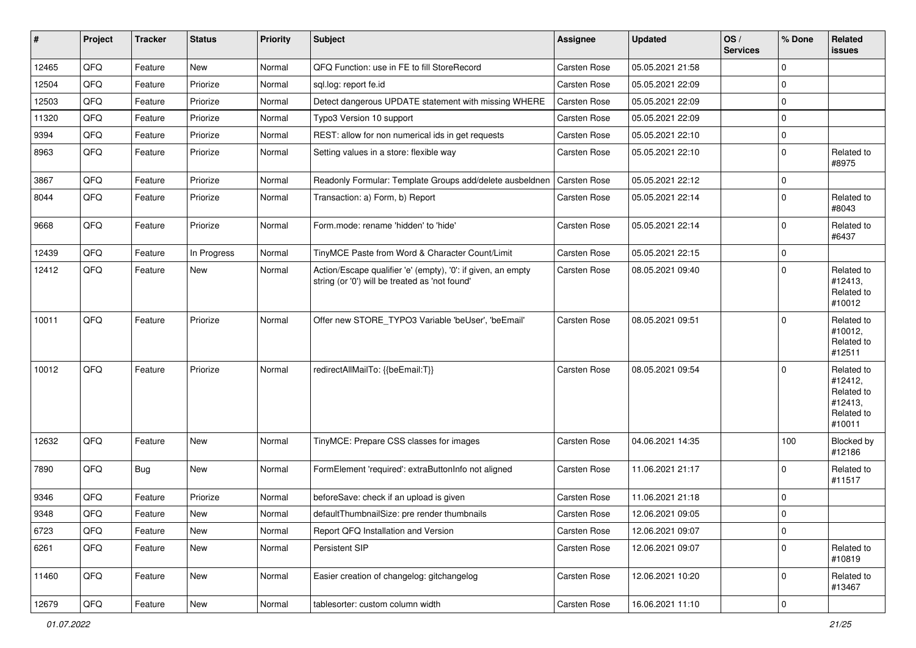| $\sharp$ | Project | <b>Tracker</b> | <b>Status</b> | <b>Priority</b> | Subject                                                                                                        | <b>Assignee</b>     | <b>Updated</b>   | OS/<br><b>Services</b> | % Done      | Related<br><b>issues</b>                                               |
|----------|---------|----------------|---------------|-----------------|----------------------------------------------------------------------------------------------------------------|---------------------|------------------|------------------------|-------------|------------------------------------------------------------------------|
| 12465    | QFQ     | Feature        | <b>New</b>    | Normal          | QFQ Function: use in FE to fill StoreRecord                                                                    | <b>Carsten Rose</b> | 05.05.2021 21:58 |                        | $\Omega$    |                                                                        |
| 12504    | QFQ     | Feature        | Priorize      | Normal          | sql.log: report fe.id                                                                                          | <b>Carsten Rose</b> | 05.05.2021 22:09 |                        | 0           |                                                                        |
| 12503    | QFQ     | Feature        | Priorize      | Normal          | Detect dangerous UPDATE statement with missing WHERE                                                           | <b>Carsten Rose</b> | 05.05.2021 22:09 |                        | $\Omega$    |                                                                        |
| 11320    | QFQ     | Feature        | Priorize      | Normal          | Typo3 Version 10 support                                                                                       | <b>Carsten Rose</b> | 05.05.2021 22:09 |                        | $\Omega$    |                                                                        |
| 9394     | QFQ     | Feature        | Priorize      | Normal          | REST: allow for non numerical ids in get requests                                                              | Carsten Rose        | 05.05.2021 22:10 |                        | 0           |                                                                        |
| 8963     | QFQ     | Feature        | Priorize      | Normal          | Setting values in a store: flexible way                                                                        | Carsten Rose        | 05.05.2021 22:10 |                        | $\mathbf 0$ | Related to<br>#8975                                                    |
| 3867     | QFQ     | Feature        | Priorize      | Normal          | Readonly Formular: Template Groups add/delete ausbeldnen                                                       | <b>Carsten Rose</b> | 05.05.2021 22:12 |                        | $\Omega$    |                                                                        |
| 8044     | QFQ     | Feature        | Priorize      | Normal          | Transaction: a) Form, b) Report                                                                                | Carsten Rose        | 05.05.2021 22:14 |                        | $\mathbf 0$ | Related to<br>#8043                                                    |
| 9668     | QFQ     | Feature        | Priorize      | Normal          | Form.mode: rename 'hidden' to 'hide'                                                                           | <b>Carsten Rose</b> | 05.05.2021 22:14 |                        | $\Omega$    | Related to<br>#6437                                                    |
| 12439    | QFQ     | Feature        | In Progress   | Normal          | TinyMCE Paste from Word & Character Count/Limit                                                                | Carsten Rose        | 05.05.2021 22:15 |                        | $\mathbf 0$ |                                                                        |
| 12412    | QFQ     | Feature        | New           | Normal          | Action/Escape qualifier 'e' (empty), '0': if given, an empty<br>string (or '0') will be treated as 'not found' | <b>Carsten Rose</b> | 08.05.2021 09:40 |                        | $\mathbf 0$ | Related to<br>#12413,<br>Related to<br>#10012                          |
| 10011    | QFQ     | Feature        | Priorize      | Normal          | Offer new STORE TYPO3 Variable 'beUser', 'beEmail'                                                             | <b>Carsten Rose</b> | 08.05.2021 09:51 |                        | $\Omega$    | Related to<br>#10012,<br>Related to<br>#12511                          |
| 10012    | QFQ     | Feature        | Priorize      | Normal          | redirectAllMailTo: {{beEmail:T}}                                                                               | <b>Carsten Rose</b> | 08.05.2021 09:54 |                        | $\Omega$    | Related to<br>#12412,<br>Related to<br>#12413,<br>Related to<br>#10011 |
| 12632    | QFQ     | Feature        | <b>New</b>    | Normal          | TinyMCE: Prepare CSS classes for images                                                                        | <b>Carsten Rose</b> | 04.06.2021 14:35 |                        | 100         | Blocked by<br>#12186                                                   |
| 7890     | QFQ     | Bug            | <b>New</b>    | Normal          | FormElement 'required': extraButtonInfo not aligned                                                            | Carsten Rose        | 11.06.2021 21:17 |                        | $\Omega$    | Related to<br>#11517                                                   |
| 9346     | QFQ     | Feature        | Priorize      | Normal          | beforeSave: check if an upload is given                                                                        | <b>Carsten Rose</b> | 11.06.2021 21:18 |                        | $\Omega$    |                                                                        |
| 9348     | QFQ     | Feature        | New           | Normal          | defaultThumbnailSize: pre render thumbnails                                                                    | <b>Carsten Rose</b> | 12.06.2021 09:05 |                        | $\Omega$    |                                                                        |
| 6723     | QFQ     | Feature        | New           | Normal          | Report QFQ Installation and Version                                                                            | Carsten Rose        | 12.06.2021 09:07 |                        | $\mathbf 0$ |                                                                        |
| 6261     | QFQ     | Feature        | New           | Normal          | Persistent SIP                                                                                                 | Carsten Rose        | 12.06.2021 09:07 |                        | $\mathbf 0$ | Related to<br>#10819                                                   |
| 11460    | QFQ     | Feature        | New           | Normal          | Easier creation of changelog: gitchangelog                                                                     | Carsten Rose        | 12.06.2021 10:20 |                        | $\mathbf 0$ | Related to<br>#13467                                                   |
| 12679    | QFQ     | Feature        | New           | Normal          | tablesorter: custom column width                                                                               | Carsten Rose        | 16.06.2021 11:10 |                        | $\mathsf 0$ |                                                                        |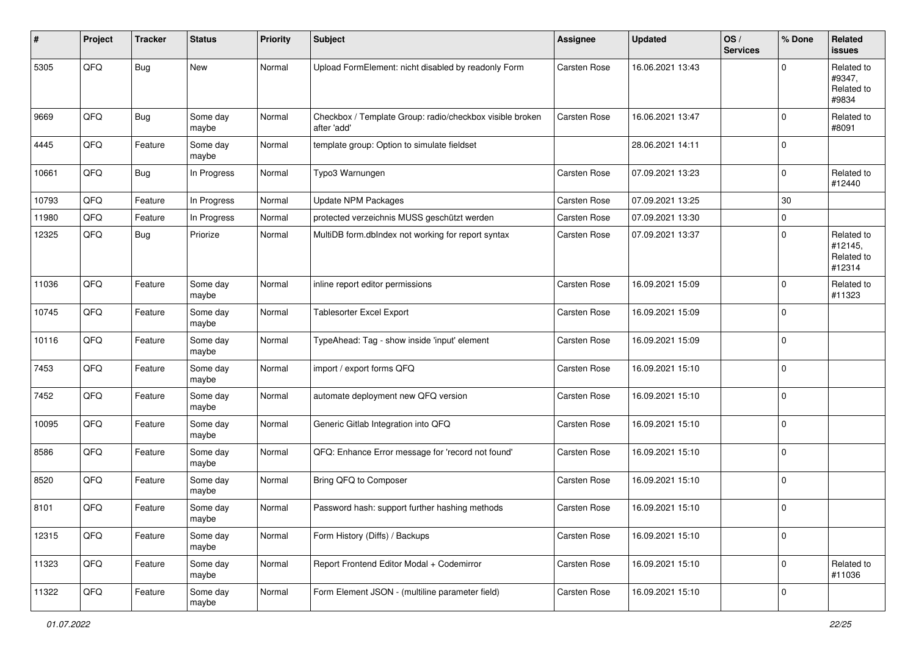| #     | Project | <b>Tracker</b> | <b>Status</b>     | <b>Priority</b> | Subject                                                                 | Assignee            | <b>Updated</b>   | OS/<br><b>Services</b> | % Done      | Related<br>issues                             |
|-------|---------|----------------|-------------------|-----------------|-------------------------------------------------------------------------|---------------------|------------------|------------------------|-------------|-----------------------------------------------|
| 5305  | QFQ     | <b>Bug</b>     | New               | Normal          | Upload FormElement: nicht disabled by readonly Form                     | <b>Carsten Rose</b> | 16.06.2021 13:43 |                        | $\Omega$    | Related to<br>#9347,<br>Related to<br>#9834   |
| 9669  | QFQ     | <b>Bug</b>     | Some day<br>maybe | Normal          | Checkbox / Template Group: radio/checkbox visible broken<br>after 'add' | <b>Carsten Rose</b> | 16.06.2021 13:47 |                        | $\Omega$    | Related to<br>#8091                           |
| 4445  | QFQ     | Feature        | Some day<br>maybe | Normal          | template group: Option to simulate fieldset                             |                     | 28.06.2021 14:11 |                        | $\mathbf 0$ |                                               |
| 10661 | QFQ     | <b>Bug</b>     | In Progress       | Normal          | Typo3 Warnungen                                                         | <b>Carsten Rose</b> | 07.09.2021 13:23 |                        | $\Omega$    | Related to<br>#12440                          |
| 10793 | QFQ     | Feature        | In Progress       | Normal          | <b>Update NPM Packages</b>                                              | <b>Carsten Rose</b> | 07.09.2021 13:25 |                        | 30          |                                               |
| 11980 | QFQ     | Feature        | In Progress       | Normal          | protected verzeichnis MUSS geschützt werden                             | <b>Carsten Rose</b> | 07.09.2021 13:30 |                        | $\Omega$    |                                               |
| 12325 | QFQ     | Bug            | Priorize          | Normal          | MultiDB form.dblndex not working for report syntax                      | <b>Carsten Rose</b> | 07.09.2021 13:37 |                        | $\Omega$    | Related to<br>#12145,<br>Related to<br>#12314 |
| 11036 | QFQ     | Feature        | Some day<br>maybe | Normal          | inline report editor permissions                                        | Carsten Rose        | 16.09.2021 15:09 |                        | $\Omega$    | Related to<br>#11323                          |
| 10745 | QFQ     | Feature        | Some day<br>maybe | Normal          | Tablesorter Excel Export                                                | <b>Carsten Rose</b> | 16.09.2021 15:09 |                        | $\Omega$    |                                               |
| 10116 | QFQ     | Feature        | Some day<br>maybe | Normal          | TypeAhead: Tag - show inside 'input' element                            | Carsten Rose        | 16.09.2021 15:09 |                        | $\mathbf 0$ |                                               |
| 7453  | QFQ     | Feature        | Some day<br>maybe | Normal          | import / export forms QFQ                                               | <b>Carsten Rose</b> | 16.09.2021 15:10 |                        | 0           |                                               |
| 7452  | QFQ     | Feature        | Some day<br>maybe | Normal          | automate deployment new QFQ version                                     | Carsten Rose        | 16.09.2021 15:10 |                        | $\Omega$    |                                               |
| 10095 | QFQ     | Feature        | Some day<br>maybe | Normal          | Generic Gitlab Integration into QFQ                                     | Carsten Rose        | 16.09.2021 15:10 |                        | $\mathbf 0$ |                                               |
| 8586  | QFQ     | Feature        | Some day<br>maybe | Normal          | QFQ: Enhance Error message for 'record not found'                       | Carsten Rose        | 16.09.2021 15:10 |                        | $\Omega$    |                                               |
| 8520  | QFQ     | Feature        | Some day<br>maybe | Normal          | Bring QFQ to Composer                                                   | Carsten Rose        | 16.09.2021 15:10 |                        | $\Omega$    |                                               |
| 8101  | QFQ     | Feature        | Some day<br>maybe | Normal          | Password hash: support further hashing methods                          | <b>Carsten Rose</b> | 16.09.2021 15:10 |                        | $\Omega$    |                                               |
| 12315 | QFG     | Feature        | Some day<br>maybe | Normal          | Form History (Diffs) / Backups                                          | Carsten Rose        | 16.09.2021 15:10 |                        | 0           |                                               |
| 11323 | QFG     | Feature        | Some day<br>maybe | Normal          | Report Frontend Editor Modal + Codemirror                               | Carsten Rose        | 16.09.2021 15:10 |                        | $\mathbf 0$ | Related to<br>#11036                          |
| 11322 | QFG     | Feature        | Some day<br>maybe | Normal          | Form Element JSON - (multiline parameter field)                         | Carsten Rose        | 16.09.2021 15:10 |                        | $\mathbf 0$ |                                               |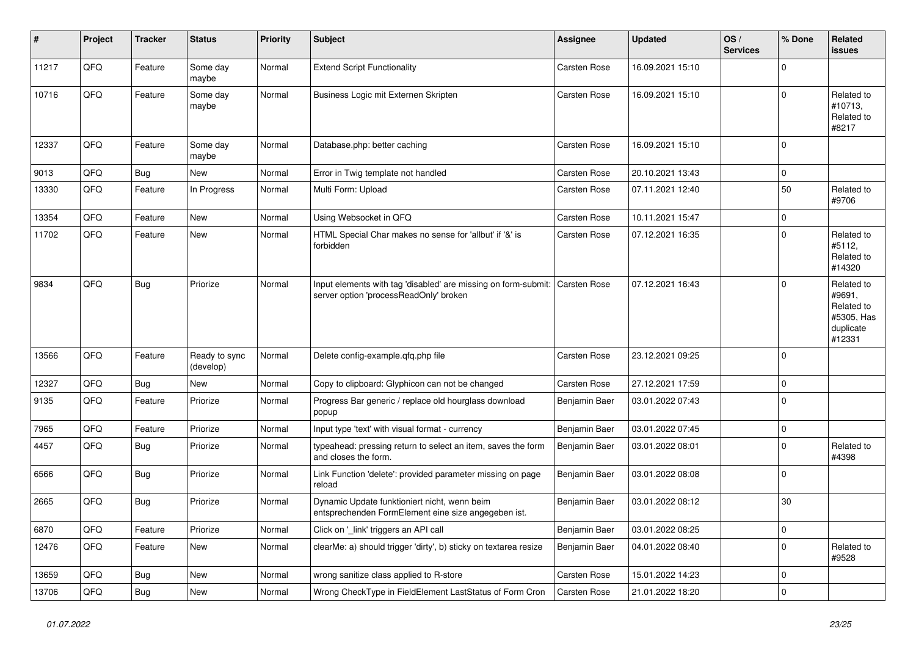| ∦     | Project | <b>Tracker</b> | <b>Status</b>              | <b>Priority</b> | <b>Subject</b>                                                                                           | Assignee            | <b>Updated</b>   | OS/<br><b>Services</b> | % Done      | <b>Related</b><br>issues                                                |
|-------|---------|----------------|----------------------------|-----------------|----------------------------------------------------------------------------------------------------------|---------------------|------------------|------------------------|-------------|-------------------------------------------------------------------------|
| 11217 | QFQ     | Feature        | Some day<br>maybe          | Normal          | <b>Extend Script Functionality</b>                                                                       | Carsten Rose        | 16.09.2021 15:10 |                        | $\Omega$    |                                                                         |
| 10716 | QFQ     | Feature        | Some day<br>maybe          | Normal          | Business Logic mit Externen Skripten                                                                     | Carsten Rose        | 16.09.2021 15:10 |                        | $\Omega$    | Related to<br>#10713,<br>Related to<br>#8217                            |
| 12337 | QFQ     | Feature        | Some day<br>maybe          | Normal          | Database.php: better caching                                                                             | Carsten Rose        | 16.09.2021 15:10 |                        | $\Omega$    |                                                                         |
| 9013  | QFQ     | Bug            | <b>New</b>                 | Normal          | Error in Twig template not handled                                                                       | Carsten Rose        | 20.10.2021 13:43 |                        | $\mathbf 0$ |                                                                         |
| 13330 | QFQ     | Feature        | In Progress                | Normal          | Multi Form: Upload                                                                                       | Carsten Rose        | 07.11.2021 12:40 |                        | 50          | Related to<br>#9706                                                     |
| 13354 | QFQ     | Feature        | <b>New</b>                 | Normal          | Using Websocket in QFQ                                                                                   | Carsten Rose        | 10.11.2021 15:47 |                        | $\mathbf 0$ |                                                                         |
| 11702 | QFQ     | Feature        | New                        | Normal          | HTML Special Char makes no sense for 'allbut' if '&' is<br>forbidden                                     | Carsten Rose        | 07.12.2021 16:35 |                        | $\Omega$    | Related to<br>#5112,<br>Related to<br>#14320                            |
| 9834  | QFQ     | Bug            | Priorize                   | Normal          | Input elements with tag 'disabled' are missing on form-submit:<br>server option 'processReadOnly' broken | <b>Carsten Rose</b> | 07.12.2021 16:43 |                        | $\Omega$    | Related to<br>#9691,<br>Related to<br>#5305, Has<br>duplicate<br>#12331 |
| 13566 | QFQ     | Feature        | Ready to sync<br>(develop) | Normal          | Delete config-example.gfg.php file                                                                       | Carsten Rose        | 23.12.2021 09:25 |                        | $\Omega$    |                                                                         |
| 12327 | QFQ     | <b>Bug</b>     | New                        | Normal          | Copy to clipboard: Glyphicon can not be changed                                                          | Carsten Rose        | 27.12.2021 17:59 |                        | $\Omega$    |                                                                         |
| 9135  | QFQ     | Feature        | Priorize                   | Normal          | Progress Bar generic / replace old hourglass download<br>popup                                           | Benjamin Baer       | 03.01.2022 07:43 |                        | $\Omega$    |                                                                         |
| 7965  | QFQ     | Feature        | Priorize                   | Normal          | Input type 'text' with visual format - currency                                                          | Benjamin Baer       | 03.01.2022 07:45 |                        | 0           |                                                                         |
| 4457  | QFQ     | Bug            | Priorize                   | Normal          | typeahead: pressing return to select an item, saves the form<br>and closes the form.                     | Benjamin Baer       | 03.01.2022 08:01 |                        | $\Omega$    | Related to<br>#4398                                                     |
| 6566  | QFQ     | Bug            | Priorize                   | Normal          | Link Function 'delete': provided parameter missing on page<br>reload                                     | Benjamin Baer       | 03.01.2022 08:08 |                        | $\Omega$    |                                                                         |
| 2665  | QFQ     | <b>Bug</b>     | Priorize                   | Normal          | Dynamic Update funktioniert nicht, wenn beim<br>entsprechenden FormElement eine size angegeben ist.      | Benjamin Baer       | 03.01.2022 08:12 |                        | 30          |                                                                         |
| 6870  | QFQ     | Feature        | Priorize                   | Normal          | Click on 'link' triggers an API call                                                                     | Benjamin Baer       | 03.01.2022 08:25 |                        | $\mathbf 0$ |                                                                         |
| 12476 | QFQ     | Feature        | New                        | Normal          | clearMe: a) should trigger 'dirty', b) sticky on textarea resize                                         | Benjamin Baer       | 04.01.2022 08:40 |                        | $\Omega$    | Related to<br>#9528                                                     |
| 13659 | QFQ     | Bug            | New                        | Normal          | wrong sanitize class applied to R-store                                                                  | <b>Carsten Rose</b> | 15.01.2022 14:23 |                        | $\mathbf 0$ |                                                                         |
| 13706 | QFQ     | Bug            | New                        | Normal          | Wrong CheckType in FieldElement LastStatus of Form Cron                                                  | <b>Carsten Rose</b> | 21.01.2022 18:20 |                        | $\Omega$    |                                                                         |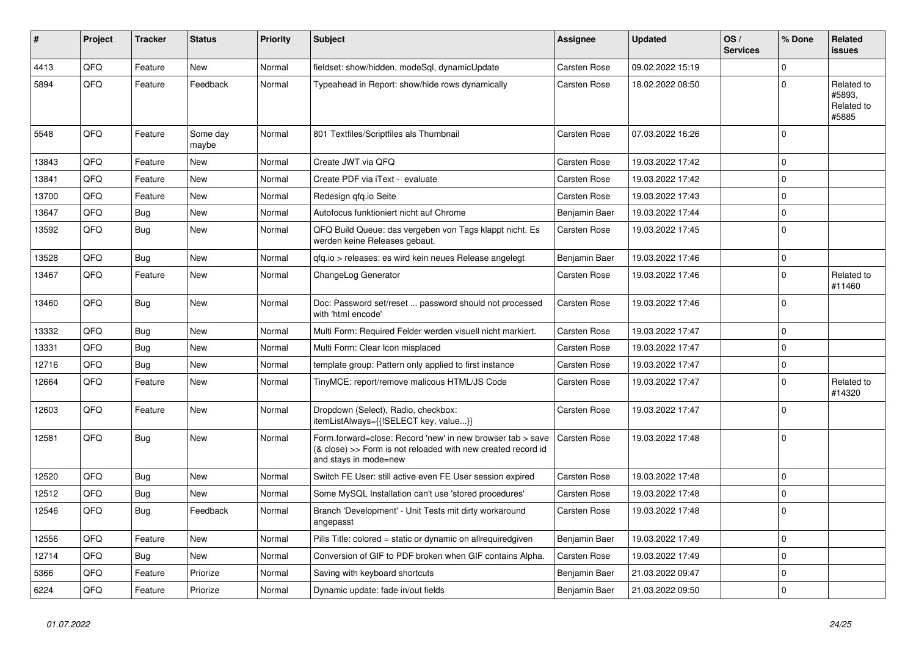| #     | <b>Project</b> | <b>Tracker</b> | <b>Status</b>     | <b>Priority</b> | <b>Subject</b>                                                                                                                                      | Assignee            | <b>Updated</b>   | OS/<br><b>Services</b> | % Done       | Related<br>issues                           |
|-------|----------------|----------------|-------------------|-----------------|-----------------------------------------------------------------------------------------------------------------------------------------------------|---------------------|------------------|------------------------|--------------|---------------------------------------------|
| 4413  | QFQ            | Feature        | <b>New</b>        | Normal          | fieldset: show/hidden, modeSql, dynamicUpdate                                                                                                       | Carsten Rose        | 09.02.2022 15:19 |                        | $\Omega$     |                                             |
| 5894  | QFQ            | Feature        | Feedback          | Normal          | Typeahead in Report: show/hide rows dynamically                                                                                                     | Carsten Rose        | 18.02.2022 08:50 |                        | $\Omega$     | Related to<br>#5893.<br>Related to<br>#5885 |
| 5548  | QFQ            | Feature        | Some day<br>maybe | Normal          | 801 Textfiles/Scriptfiles als Thumbnail                                                                                                             | Carsten Rose        | 07.03.2022 16:26 |                        | $\Omega$     |                                             |
| 13843 | QFQ            | Feature        | <b>New</b>        | Normal          | Create JWT via QFQ                                                                                                                                  | <b>Carsten Rose</b> | 19.03.2022 17:42 |                        | $\mathbf 0$  |                                             |
| 13841 | QFQ            | Feature        | <b>New</b>        | Normal          | Create PDF via iText - evaluate                                                                                                                     | Carsten Rose        | 19.03.2022 17:42 |                        | $\mathbf{0}$ |                                             |
| 13700 | QFQ            | Feature        | <b>New</b>        | Normal          | Redesign qfq.io Seite                                                                                                                               | Carsten Rose        | 19.03.2022 17:43 |                        | $\mathbf 0$  |                                             |
| 13647 | QFQ            | <b>Bug</b>     | New               | Normal          | Autofocus funktioniert nicht auf Chrome                                                                                                             | Benjamin Baer       | 19.03.2022 17:44 |                        | $\mathbf 0$  |                                             |
| 13592 | QFQ            | <b>Bug</b>     | New               | Normal          | QFQ Build Queue: das vergeben von Tags klappt nicht. Es<br>werden keine Releases gebaut.                                                            | Carsten Rose        | 19.03.2022 17:45 |                        | $\Omega$     |                                             |
| 13528 | QFQ            | Bug            | New               | Normal          | qfq.io > releases: es wird kein neues Release angelegt                                                                                              | Benjamin Baer       | 19.03.2022 17:46 |                        | 0            |                                             |
| 13467 | QFQ            | Feature        | New               | Normal          | ChangeLog Generator                                                                                                                                 | Carsten Rose        | 19.03.2022 17:46 |                        | $\mathbf 0$  | Related to<br>#11460                        |
| 13460 | QFQ            | Bug            | New               | Normal          | Doc: Password set/reset  password should not processed<br>with 'html encode'                                                                        | Carsten Rose        | 19.03.2022 17:46 |                        | $\Omega$     |                                             |
| 13332 | QFQ            | Bug            | <b>New</b>        | Normal          | Multi Form: Required Felder werden visuell nicht markiert.                                                                                          | Carsten Rose        | 19.03.2022 17:47 |                        | $\mathbf 0$  |                                             |
| 13331 | QFQ            | Bug            | <b>New</b>        | Normal          | Multi Form: Clear Icon misplaced                                                                                                                    | Carsten Rose        | 19.03.2022 17:47 |                        | 0            |                                             |
| 12716 | QFQ            | <b>Bug</b>     | New               | Normal          | template group: Pattern only applied to first instance                                                                                              | Carsten Rose        | 19.03.2022 17:47 |                        | 0            |                                             |
| 12664 | QFQ            | Feature        | New               | Normal          | TinyMCE: report/remove malicous HTML/JS Code                                                                                                        | Carsten Rose        | 19.03.2022 17:47 |                        | $\Omega$     | Related to<br>#14320                        |
| 12603 | QFQ            | Feature        | <b>New</b>        | Normal          | Dropdown (Select), Radio, checkbox:<br>itemListAlways={{!SELECT key, value}}                                                                        | Carsten Rose        | 19.03.2022 17:47 |                        | $\Omega$     |                                             |
| 12581 | QFQ            | <b>Bug</b>     | New               | Normal          | Form.forward=close: Record 'new' in new browser tab > save<br>(& close) >> Form is not reloaded with new created record id<br>and stays in mode=new | <b>Carsten Rose</b> | 19.03.2022 17:48 |                        | 0            |                                             |
| 12520 | QFQ            | Bug            | <b>New</b>        | Normal          | Switch FE User: still active even FE User session expired                                                                                           | <b>Carsten Rose</b> | 19.03.2022 17:48 |                        | $\mathbf 0$  |                                             |
| 12512 | QFQ            | <b>Bug</b>     | <b>New</b>        | Normal          | Some MySQL Installation can't use 'stored procedures'                                                                                               | Carsten Rose        | 19.03.2022 17:48 |                        | $\mathbf 0$  |                                             |
| 12546 | QFQ            | Bug            | Feedback          | Normal          | Branch 'Development' - Unit Tests mit dirty workaround<br>angepasst                                                                                 | Carsten Rose        | 19.03.2022 17:48 |                        | $\mathbf 0$  |                                             |
| 12556 | QFQ            | Feature        | <b>New</b>        | Normal          | Pills Title: colored = static or dynamic on allrequiredgiven                                                                                        | Benjamin Baer       | 19.03.2022 17:49 |                        | $\Omega$     |                                             |
| 12714 | QFQ            | Bug            | New               | Normal          | Conversion of GIF to PDF broken when GIF contains Alpha.                                                                                            | Carsten Rose        | 19.03.2022 17:49 |                        | $\mathbf 0$  |                                             |
| 5366  | QFQ            | Feature        | Priorize          | Normal          | Saving with keyboard shortcuts                                                                                                                      | Benjamin Baer       | 21.03.2022 09:47 |                        | $\mathbf 0$  |                                             |
| 6224  | QFQ            | Feature        | Priorize          | Normal          | Dynamic update: fade in/out fields                                                                                                                  | Benjamin Baer       | 21.03.2022 09:50 |                        | 0            |                                             |